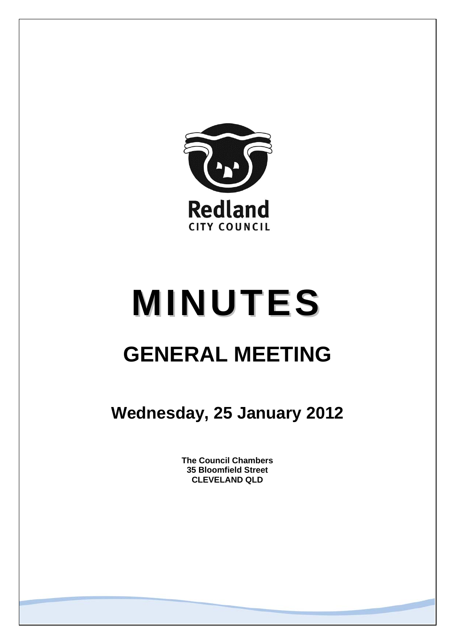

# **MINUTES GENERAL MEETING**

**Wednesday, 25 January 2012** 

**The Council Chambers 35 Bloomfield Street CLEVELAND QLD**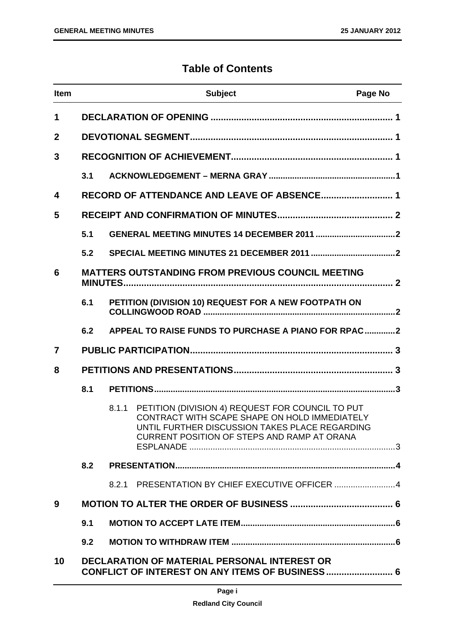# **Table of Contents**

| <b>Item</b>             |                                                                                                        |       | <b>Subject</b>                                                                                                                                                                                     | Page No |
|-------------------------|--------------------------------------------------------------------------------------------------------|-------|----------------------------------------------------------------------------------------------------------------------------------------------------------------------------------------------------|---------|
| 1                       |                                                                                                        |       |                                                                                                                                                                                                    |         |
| $\overline{2}$          |                                                                                                        |       |                                                                                                                                                                                                    |         |
| 3                       |                                                                                                        |       |                                                                                                                                                                                                    |         |
|                         | 3.1                                                                                                    |       |                                                                                                                                                                                                    |         |
| $\overline{\mathbf{4}}$ |                                                                                                        |       | RECORD OF ATTENDANCE AND LEAVE OF ABSENCE 1                                                                                                                                                        |         |
| 5                       |                                                                                                        |       |                                                                                                                                                                                                    |         |
|                         | 5.1                                                                                                    |       |                                                                                                                                                                                                    |         |
|                         | 5.2                                                                                                    |       |                                                                                                                                                                                                    |         |
| 6                       |                                                                                                        |       | <b>MATTERS OUTSTANDING FROM PREVIOUS COUNCIL MEETING</b>                                                                                                                                           |         |
|                         | 6.1                                                                                                    |       | PETITION (DIVISION 10) REQUEST FOR A NEW FOOTPATH ON                                                                                                                                               |         |
|                         | 6.2                                                                                                    |       | APPEAL TO RAISE FUNDS TO PURCHASE A PIANO FOR RPAC2                                                                                                                                                |         |
| $\overline{7}$          |                                                                                                        |       |                                                                                                                                                                                                    |         |
| 8                       |                                                                                                        |       |                                                                                                                                                                                                    |         |
|                         | 8.1                                                                                                    |       |                                                                                                                                                                                                    |         |
|                         |                                                                                                        | 8.1.1 | PETITION (DIVISION 4) REQUEST FOR COUNCIL TO PUT<br>CONTRACT WITH SCAPE SHAPE ON HOLD IMMEDIATELY<br>UNTIL FURTHER DISCUSSION TAKES PLACE REGARDING<br>CURRENT POSITION OF STEPS AND RAMP AT ORANA |         |
|                         | 8.2                                                                                                    |       |                                                                                                                                                                                                    |         |
|                         |                                                                                                        | 8.2.1 | PRESENTATION BY CHIEF EXECUTIVE OFFICER 4                                                                                                                                                          |         |
| 9                       |                                                                                                        |       |                                                                                                                                                                                                    |         |
|                         | 9.1                                                                                                    |       |                                                                                                                                                                                                    |         |
|                         | 9.2                                                                                                    |       |                                                                                                                                                                                                    |         |
| 10                      | <b>DECLARATION OF MATERIAL PERSONAL INTEREST OR</b><br>CONFLICT OF INTEREST ON ANY ITEMS OF BUSINESS 6 |       |                                                                                                                                                                                                    |         |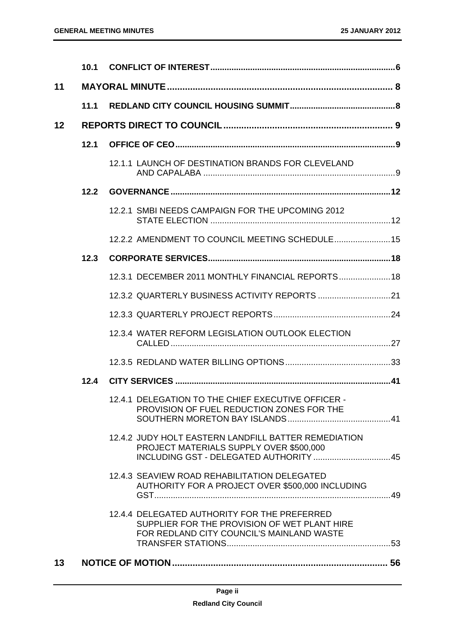|    | 10.1 |                                                                                                                                           |  |
|----|------|-------------------------------------------------------------------------------------------------------------------------------------------|--|
| 11 |      |                                                                                                                                           |  |
|    | 11.1 |                                                                                                                                           |  |
| 12 |      |                                                                                                                                           |  |
|    | 12.1 |                                                                                                                                           |  |
|    |      | 12.1.1 LAUNCH OF DESTINATION BRANDS FOR CLEVELAND                                                                                         |  |
|    | 12.2 |                                                                                                                                           |  |
|    |      | 12.2.1 SMBI NEEDS CAMPAIGN FOR THE UPCOMING 2012                                                                                          |  |
|    |      | 12.2.2 AMENDMENT TO COUNCIL MEETING SCHEDULE 15                                                                                           |  |
|    | 12.3 |                                                                                                                                           |  |
|    |      | 12.3.1 DECEMBER 2011 MONTHLY FINANCIAL REPORTS 18                                                                                         |  |
|    |      |                                                                                                                                           |  |
|    |      |                                                                                                                                           |  |
|    |      | 12.3.4 WATER REFORM LEGISLATION OUTLOOK ELECTION                                                                                          |  |
|    |      |                                                                                                                                           |  |
|    | 12.4 |                                                                                                                                           |  |
|    |      | 12.4.1 DELEGATION TO THE CHIEF EXECUTIVE OFFICER -<br>PROVISION OF FUEL REDUCTION ZONES FOR THE                                           |  |
|    |      | 12.4.2 JUDY HOLT EASTERN LANDFILL BATTER REMEDIATION<br>PROJECT MATERIALS SUPPLY OVER \$500,000                                           |  |
|    |      | 12.4.3 SEAVIEW ROAD REHABILITATION DELEGATED<br>AUTHORITY FOR A PROJECT OVER \$500,000 INCLUDING                                          |  |
|    |      | 12.4.4 DELEGATED AUTHORITY FOR THE PREFERRED<br>SUPPLIER FOR THE PROVISION OF WET PLANT HIRE<br>FOR REDLAND CITY COUNCIL'S MAINLAND WASTE |  |
| 13 |      |                                                                                                                                           |  |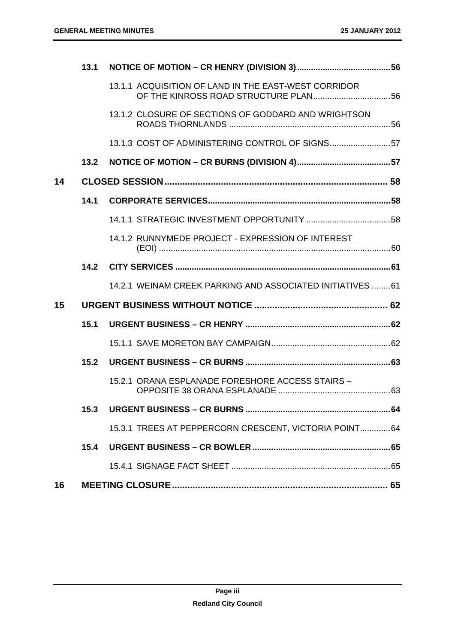|    | 13.1 |                                                           |  |
|----|------|-----------------------------------------------------------|--|
|    |      | 13.1.1 ACQUISITION OF LAND IN THE EAST-WEST CORRIDOR      |  |
|    |      | 13.1.2 CLOSURE OF SECTIONS OF GODDARD AND WRIGHTSON       |  |
|    |      | 13.1.3 COST OF ADMINISTERING CONTROL OF SIGNS57           |  |
|    | 13.2 |                                                           |  |
| 14 |      |                                                           |  |
|    | 14.1 |                                                           |  |
|    |      |                                                           |  |
|    |      | 14.1.2 RUNNYMEDE PROJECT - EXPRESSION OF INTEREST         |  |
|    |      | 14.2 CITY SERVICES …………………………………………………………………………………………61   |  |
|    |      | 14.2.1 WEINAM CREEK PARKING AND ASSOCIATED INITIATIVES 61 |  |
| 15 |      |                                                           |  |
|    | 15.1 |                                                           |  |
|    |      |                                                           |  |
|    | 15.2 |                                                           |  |
|    |      | 15.2.1 ORANA ESPLANADE FORESHORE ACCESS STAIRS -          |  |
|    | 15.3 |                                                           |  |
|    |      | 15.3.1 TREES AT PEPPERCORN CRESCENT, VICTORIA POINT 64    |  |
|    | 15.4 |                                                           |  |
|    |      |                                                           |  |
| 16 |      |                                                           |  |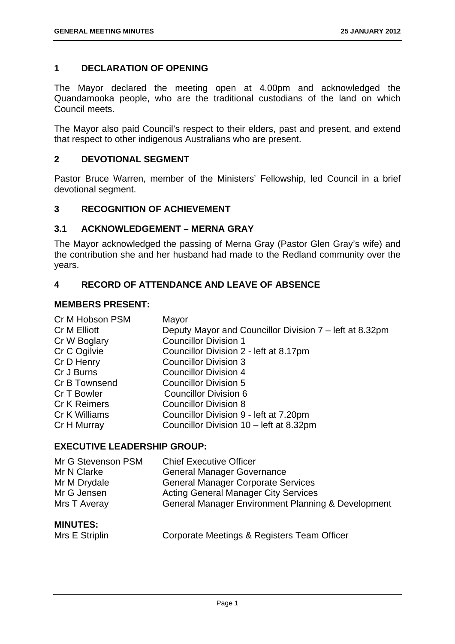# **1 DECLARATION OF OPENING**

The Mayor declared the meeting open at 4.00pm and acknowledged the Quandamooka people, who are the traditional custodians of the land on which Council meets.

The Mayor also paid Council's respect to their elders, past and present, and extend that respect to other indigenous Australians who are present.

# **2 DEVOTIONAL SEGMENT**

Pastor Bruce Warren, member of the Ministers' Fellowship, led Council in a brief devotional segment.

## **3 RECOGNITION OF ACHIEVEMENT**

# **3.1 ACKNOWLEDGEMENT – MERNA GRAY**

The Mayor acknowledged the passing of Merna Gray (Pastor Glen Gray's wife) and the contribution she and her husband had made to the Redland community over the years.

# **4 RECORD OF ATTENDANCE AND LEAVE OF ABSENCE**

## **MEMBERS PRESENT:**

| Mayor                                                   |
|---------------------------------------------------------|
| Deputy Mayor and Councillor Division 7 – left at 8.32pm |
| <b>Councillor Division 1</b>                            |
| Councillor Division 2 - left at 8.17pm                  |
| <b>Councillor Division 3</b>                            |
| <b>Councillor Division 4</b>                            |
| <b>Councillor Division 5</b>                            |
| <b>Councillor Division 6</b>                            |
| <b>Councillor Division 8</b>                            |
| Councillor Division 9 - left at 7.20pm                  |
| Councillor Division 10 - left at 8.32pm                 |
|                                                         |

## **EXECUTIVE LEADERSHIP GROUP:**

| Mr G Stevenson PSM                   | <b>Chief Executive Officer</b>                     |
|--------------------------------------|----------------------------------------------------|
| Mr N Clarke                          | <b>General Manager Governance</b>                  |
| Mr M Drydale                         | <b>General Manager Corporate Services</b>          |
| Mr G Jensen                          | <b>Acting General Manager City Services</b>        |
| Mrs T Averay                         | General Manager Environment Planning & Development |
| <b>MINUTES:</b><br>$\cdots$ $\cdots$ |                                                    |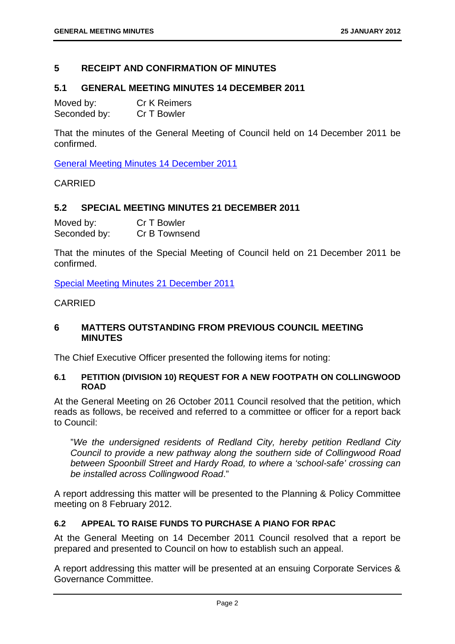# **5 RECEIPT AND CONFIRMATION OF MINUTES**

# **5.1 GENERAL MEETING MINUTES 14 DECEMBER 2011**

| Moved by:    | <b>Cr K Reimers</b> |
|--------------|---------------------|
| Seconded by: | Cr T Bowler         |

That the minutes of the General Meeting of Council held on 14 December 2011 be confirmed.

General Meeting Minutes 14 December 2011

CARRIED

# **5.2 SPECIAL MEETING MINUTES 21 DECEMBER 2011**

| Moved by:    | Cr T Bowler   |
|--------------|---------------|
| Seconded by: | Cr B Townsend |

That the minutes of the Special Meeting of Council held on 21 December 2011 be confirmed.

Special Meeting Minutes 21 December 2011

# CARRIED

# **6 MATTERS OUTSTANDING FROM PREVIOUS COUNCIL MEETING MINUTES**

The Chief Executive Officer presented the following items for noting:

## **6.1 PETITION (DIVISION 10) REQUEST FOR A NEW FOOTPATH ON COLLINGWOOD ROAD**

At the General Meeting on 26 October 2011 Council resolved that the petition, which reads as follows, be received and referred to a committee or officer for a report back to Council:

"*We the undersigned residents of Redland City, hereby petition Redland City Council to provide a new pathway along the southern side of Collingwood Road between Spoonbill Street and Hardy Road, to where a 'school-safe' crossing can be installed across Collingwood Road*."

A report addressing this matter will be presented to the Planning & Policy Committee meeting on 8 February 2012.

# **6.2 APPEAL TO RAISE FUNDS TO PURCHASE A PIANO FOR RPAC**

At the General Meeting on 14 December 2011 Council resolved that a report be prepared and presented to Council on how to establish such an appeal.

A report addressing this matter will be presented at an ensuing Corporate Services & Governance Committee.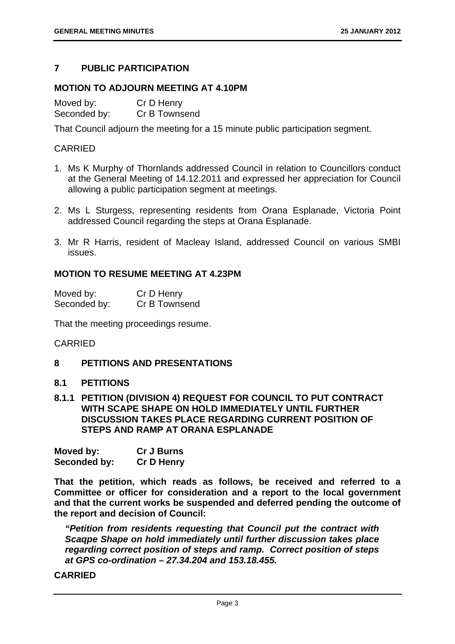# **7 PUBLIC PARTICIPATION**

# **MOTION TO ADJOURN MEETING AT 4.10PM**

Moved by: Cr D Henry Seconded by: Cr B Townsend

That Council adjourn the meeting for a 15 minute public participation segment.

# CARRIED

- 1. Ms K Murphy of Thornlands addressed Council in relation to Councillors conduct at the General Meeting of 14.12.2011 and expressed her appreciation for Council allowing a public participation segment at meetings.
- 2. Ms L Sturgess, representing residents from Orana Esplanade, Victoria Point addressed Council regarding the steps at Orana Esplanade.
- 3. Mr R Harris, resident of Macleay Island, addressed Council on various SMBI issues.

# **MOTION TO RESUME MEETING AT 4.23PM**

| Moved by:    | Cr D Henry    |
|--------------|---------------|
| Seconded by: | Cr B Townsend |

That the meeting proceedings resume.

## CARRIED

## **8 PETITIONS AND PRESENTATIONS**

# **8.1 PETITIONS**

**8.1.1 PETITION (DIVISION 4) REQUEST FOR COUNCIL TO PUT CONTRACT WITH SCAPE SHAPE ON HOLD IMMEDIATELY UNTIL FURTHER DISCUSSION TAKES PLACE REGARDING CURRENT POSITION OF STEPS AND RAMP AT ORANA ESPLANADE** 

| Moved by:    | <b>Cr J Burns</b> |
|--------------|-------------------|
| Seconded by: | <b>Cr D Henry</b> |

**That the petition, which reads as follows, be received and referred to a Committee or officer for consideration and a report to the local government and that the current works be suspended and deferred pending the outcome of the report and decision of Council:** 

*"Petition from residents requesting that Council put the contract with Scaqpe Shape on hold immediately until further discussion takes place regarding correct position of steps and ramp. Correct position of steps at GPS co-ordination – 27.34.204 and 153.18.455.*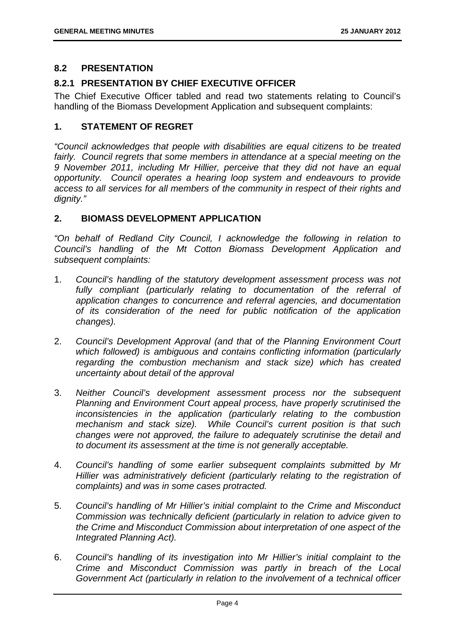# **8.2 PRESENTATION**

# **8.2.1 PRESENTATION BY CHIEF EXECUTIVE OFFICER**

The Chief Executive Officer tabled and read two statements relating to Council's handling of the Biomass Development Application and subsequent complaints:

# **1. STATEMENT OF REGRET**

*"Council acknowledges that people with disabilities are equal citizens to be treated*  fairly. Council regrets that some members in attendance at a special meeting on the *9 November 2011, including Mr Hillier, perceive that they did not have an equal opportunity. Council operates a hearing loop system and endeavours to provide access to all services for all members of the community in respect of their rights and dignity."* 

# **2. BIOMASS DEVELOPMENT APPLICATION**

*"On behalf of Redland City Council, I acknowledge the following in relation to Council's handling of the Mt Cotton Biomass Development Application and subsequent complaints:* 

- 1. *Council's handling of the statutory development assessment process was not*  fully compliant (particularly relating to documentation of the referral of *application changes to concurrence and referral agencies, and documentation of its consideration of the need for public notification of the application changes).*
- 2. *Council's Development Approval (and that of the Planning Environment Court which followed) is ambiguous and contains conflicting information (particularly regarding the combustion mechanism and stack size) which has created uncertainty about detail of the approval*
- 3. *Neither Council's development assessment process nor the subsequent Planning and Environment Court appeal process, have properly scrutinised the inconsistencies in the application (particularly relating to the combustion mechanism and stack size). While Council's current position is that such changes were not approved, the failure to adequately scrutinise the detail and to document its assessment at the time is not generally acceptable.*
- 4. *Council's handling of some earlier subsequent complaints submitted by Mr Hillier was administratively deficient (particularly relating to the registration of complaints) and was in some cases protracted.*
- 5. *Council's handling of Mr Hillier's initial complaint to the Crime and Misconduct Commission was technically deficient (particularly in relation to advice given to the Crime and Misconduct Commission about interpretation of one aspect of the Integrated Planning Act).*
- 6. *Council's handling of its investigation into Mr Hillier's initial complaint to the Crime and Misconduct Commission was partly in breach of the Local Government Act (particularly in relation to the involvement of a technical officer*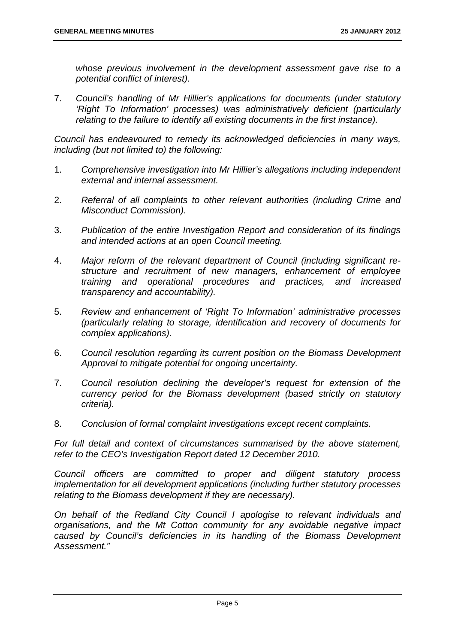*whose previous involvement in the development assessment gave rise to a potential conflict of interest).* 

7. *Council's handling of Mr Hillier's applications for documents (under statutory 'Right To Information' processes) was administratively deficient (particularly relating to the failure to identify all existing documents in the first instance).* 

*Council has endeavoured to remedy its acknowledged deficiencies in many ways, including (but not limited to) the following:* 

- 1. *Comprehensive investigation into Mr Hillier's allegations including independent external and internal assessment.*
- 2. *Referral of all complaints to other relevant authorities (including Crime and Misconduct Commission).*
- 3. *Publication of the entire Investigation Report and consideration of its findings and intended actions at an open Council meeting.*
- 4. *Major reform of the relevant department of Council (including significant restructure and recruitment of new managers, enhancement of employee training and operational procedures and practices, and increased transparency and accountability).*
- 5. *Review and enhancement of 'Right To Information' administrative processes (particularly relating to storage, identification and recovery of documents for complex applications).*
- 6. *Council resolution regarding its current position on the Biomass Development Approval to mitigate potential for ongoing uncertainty.*
- 7. *Council resolution declining the developer's request for extension of the currency period for the Biomass development (based strictly on statutory criteria).*
- 8. *Conclusion of formal complaint investigations except recent complaints.*

*For full detail and context of circumstances summarised by the above statement, refer to the CEO's Investigation Report dated 12 December 2010.* 

*Council officers are committed to proper and diligent statutory process implementation for all development applications (including further statutory processes relating to the Biomass development if they are necessary).* 

*On behalf of the Redland City Council I apologise to relevant individuals and organisations, and the Mt Cotton community for any avoidable negative impact caused by Council's deficiencies in its handling of the Biomass Development Assessment."*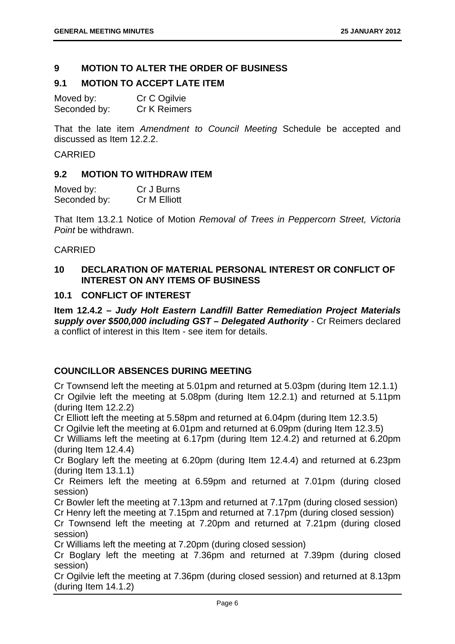# **9 MOTION TO ALTER THE ORDER OF BUSINESS**

# **9.1 MOTION TO ACCEPT LATE ITEM**

| Moved by:    | Cr C Ogilvie |
|--------------|--------------|
| Seconded by: | Cr K Reimers |

That the late item *Amendment to Council Meeting* Schedule be accepted and discussed as Item 12.2.2.

# CARRIED

## **9.2 MOTION TO WITHDRAW ITEM**

| Moved by:    | Cr J Burns   |
|--------------|--------------|
| Seconded by: | Cr M Elliott |

That Item 13.2.1 Notice of Motion *Removal of Trees in Peppercorn Street, Victoria Point* be withdrawn.

# CARRIED

# **10 DECLARATION OF MATERIAL PERSONAL INTEREST OR CONFLICT OF INTEREST ON ANY ITEMS OF BUSINESS**

# **10.1 CONFLICT OF INTEREST**

**Item 12.4.2 –** *Judy Holt Eastern Landfill Batter Remediation Project Materials supply over \$500,000 including GST – Delegated Authority -* Cr Reimers declared a conflict of interest in this Item - see item for details.

# **COUNCILLOR ABSENCES DURING MEETING**

Cr Townsend left the meeting at 5.01pm and returned at 5.03pm (during Item 12.1.1) Cr Ogilvie left the meeting at 5.08pm (during Item 12.2.1) and returned at 5.11pm (during Item 12.2.2)

Cr Elliott left the meeting at 5.58pm and returned at 6.04pm (during Item 12.3.5)

Cr Ogilvie left the meeting at 6.01pm and returned at 6.09pm (during Item 12.3.5)

Cr Williams left the meeting at 6.17pm (during Item 12.4.2) and returned at 6.20pm (during Item 12.4.4)

Cr Boglary left the meeting at 6.20pm (during Item 12.4.4) and returned at 6.23pm (during Item 13.1.1)

Cr Reimers left the meeting at 6.59pm and returned at 7.01pm (during closed session)

Cr Bowler left the meeting at 7.13pm and returned at 7.17pm (during closed session)

Cr Henry left the meeting at 7.15pm and returned at 7.17pm (during closed session)

Cr Townsend left the meeting at 7.20pm and returned at 7.21pm (during closed session)

Cr Williams left the meeting at 7.20pm (during closed session)

Cr Boglary left the meeting at 7.36pm and returned at 7.39pm (during closed session)

Cr Ogilvie left the meeting at 7.36pm (during closed session) and returned at 8.13pm (during Item 14.1.2)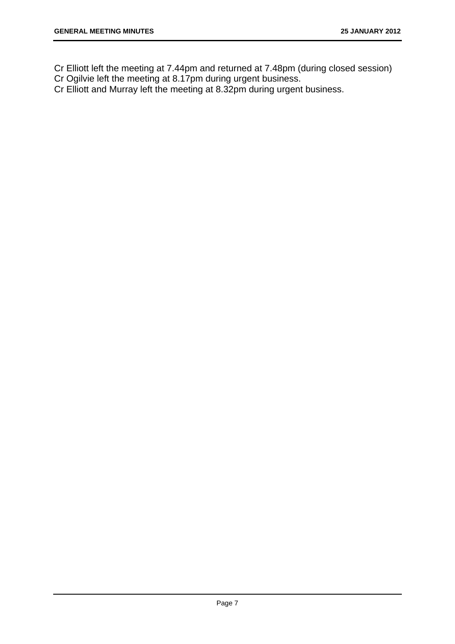Cr Elliott left the meeting at 7.44pm and returned at 7.48pm (during closed session)

Cr Ogilvie left the meeting at 8.17pm during urgent business.

Cr Elliott and Murray left the meeting at 8.32pm during urgent business.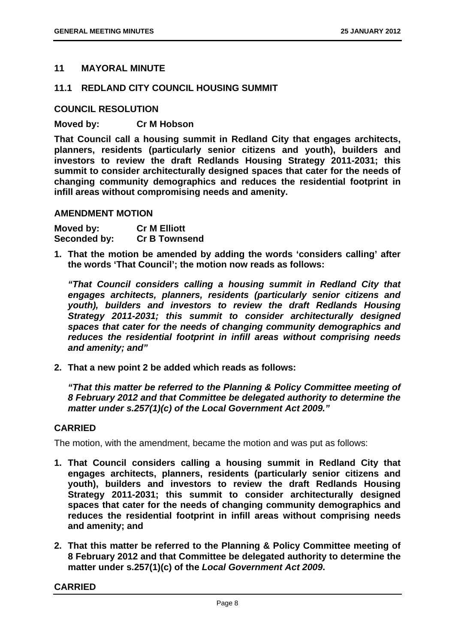# **11 MAYORAL MINUTE**

## **11.1 REDLAND CITY COUNCIL HOUSING SUMMIT**

### **COUNCIL RESOLUTION**

## **Moved by: Cr M Hobson**

**That Council call a housing summit in Redland City that engages architects, planners, residents (particularly senior citizens and youth), builders and investors to review the draft Redlands Housing Strategy 2011-2031; this summit to consider architecturally designed spaces that cater for the needs of changing community demographics and reduces the residential footprint in infill areas without compromising needs and amenity.** 

#### **AMENDMENT MOTION**

| Moved by:    | <b>Cr M Elliott</b>  |
|--------------|----------------------|
| Seconded by: | <b>Cr B Townsend</b> |

**1. That the motion be amended by adding the words 'considers calling' after the words 'That Council'; the motion now reads as follows:** 

*"That Council considers calling a housing summit in Redland City that engages architects, planners, residents (particularly senior citizens and youth), builders and investors to review the draft Redlands Housing Strategy 2011-2031; this summit to consider architecturally designed spaces that cater for the needs of changing community demographics and reduces the residential footprint in infill areas without comprising needs and amenity; and"* 

**2. That a new point 2 be added which reads as follows:** 

*"That this matter be referred to the Planning & Policy Committee meeting of 8 February 2012 and that Committee be delegated authority to determine the matter under s.257(1)(c) of the Local Government Act 2009."* 

## **CARRIED**

The motion, with the amendment, became the motion and was put as follows:

- **1. That Council considers calling a housing summit in Redland City that engages architects, planners, residents (particularly senior citizens and youth), builders and investors to review the draft Redlands Housing Strategy 2011-2031; this summit to consider architecturally designed spaces that cater for the needs of changing community demographics and reduces the residential footprint in infill areas without comprising needs and amenity; and**
- **2. That this matter be referred to the Planning & Policy Committee meeting of 8 February 2012 and that Committee be delegated authority to determine the matter under s.257(1)(c) of the** *Local Government Act 2009***.**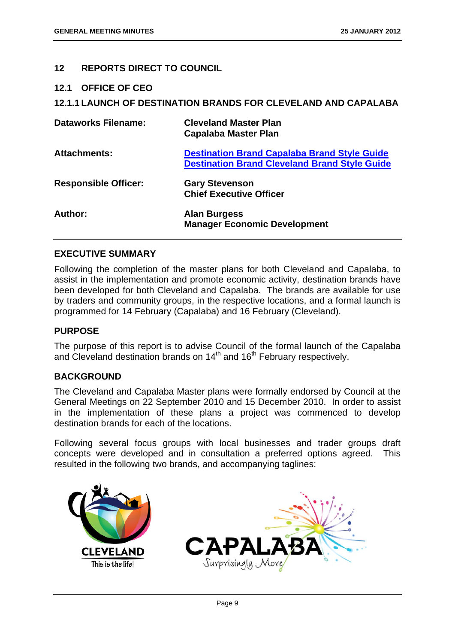# **12 REPORTS DIRECT TO COUNCIL**

**12.1 OFFICE OF CEO** 

## **12.1.1 LAUNCH OF DESTINATION BRANDS FOR CLEVELAND AND CAPALABA**

| <b>Dataworks Filename:</b>  | <b>Cleveland Master Plan</b><br><b>Capalaba Master Plan</b>                                                 |
|-----------------------------|-------------------------------------------------------------------------------------------------------------|
| <b>Attachments:</b>         | <b>Destination Brand Capalaba Brand Style Guide</b><br><b>Destination Brand Cleveland Brand Style Guide</b> |
| <b>Responsible Officer:</b> | <b>Gary Stevenson</b><br><b>Chief Executive Officer</b>                                                     |
| Author:                     | <b>Alan Burgess</b><br><b>Manager Economic Development</b>                                                  |

# **EXECUTIVE SUMMARY**

Following the completion of the master plans for both Cleveland and Capalaba, to assist in the implementation and promote economic activity, destination brands have been developed for both Cleveland and Capalaba. The brands are available for use by traders and community groups, in the respective locations, and a formal launch is programmed for 14 February (Capalaba) and 16 February (Cleveland).

## **PURPOSE**

The purpose of this report is to advise Council of the formal launch of the Capalaba and Cleveland destination brands on  $14<sup>th</sup>$  and  $16<sup>th</sup>$  February respectively.

## **BACKGROUND**

The Cleveland and Capalaba Master plans were formally endorsed by Council at the General Meetings on 22 September 2010 and 15 December 2010. In order to assist in the implementation of these plans a project was commenced to develop destination brands for each of the locations.

Following several focus groups with local businesses and trader groups draft concepts were developed and in consultation a preferred options agreed. This resulted in the following two brands, and accompanying taglines:

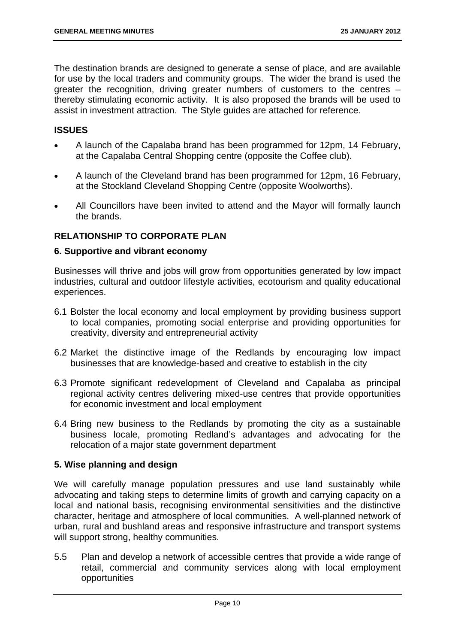The destination brands are designed to generate a sense of place, and are available for use by the local traders and community groups. The wider the brand is used the greater the recognition, driving greater numbers of customers to the centres – thereby stimulating economic activity. It is also proposed the brands will be used to assist in investment attraction. The Style guides are attached for reference.

# **ISSUES**

- A launch of the Capalaba brand has been programmed for 12pm, 14 February, at the Capalaba Central Shopping centre (opposite the Coffee club).
- A launch of the Cleveland brand has been programmed for 12pm, 16 February, at the Stockland Cleveland Shopping Centre (opposite Woolworths).
- All Councillors have been invited to attend and the Mayor will formally launch the brands.

# **RELATIONSHIP TO CORPORATE PLAN**

## **6. Supportive and vibrant economy**

Businesses will thrive and jobs will grow from opportunities generated by low impact industries, cultural and outdoor lifestyle activities, ecotourism and quality educational experiences.

- 6.1 Bolster the local economy and local employment by providing business support to local companies, promoting social enterprise and providing opportunities for creativity, diversity and entrepreneurial activity
- 6.2 Market the distinctive image of the Redlands by encouraging low impact businesses that are knowledge-based and creative to establish in the city
- 6.3 Promote significant redevelopment of Cleveland and Capalaba as principal regional activity centres delivering mixed-use centres that provide opportunities for economic investment and local employment
- 6.4 Bring new business to the Redlands by promoting the city as a sustainable business locale, promoting Redland's advantages and advocating for the relocation of a major state government department

## **5. Wise planning and design**

We will carefully manage population pressures and use land sustainably while advocating and taking steps to determine limits of growth and carrying capacity on a local and national basis, recognising environmental sensitivities and the distinctive character, heritage and atmosphere of local communities. A well-planned network of urban, rural and bushland areas and responsive infrastructure and transport systems will support strong, healthy communities.

5.5 Plan and develop a network of accessible centres that provide a wide range of retail, commercial and community services along with local employment opportunities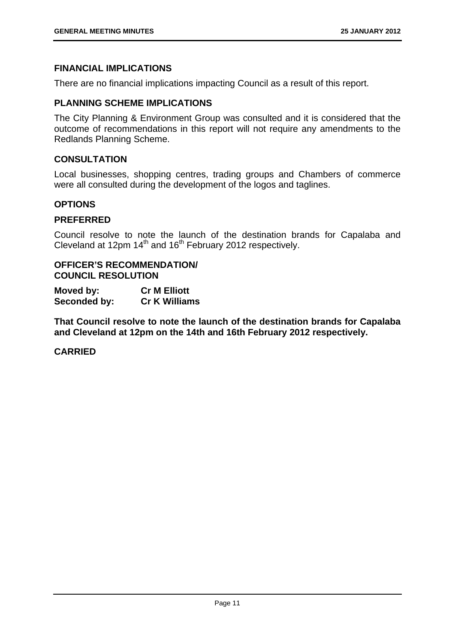# **FINANCIAL IMPLICATIONS**

There are no financial implications impacting Council as a result of this report.

# **PLANNING SCHEME IMPLICATIONS**

The City Planning & Environment Group was consulted and it is considered that the outcome of recommendations in this report will not require any amendments to the Redlands Planning Scheme.

## **CONSULTATION**

Local businesses, shopping centres, trading groups and Chambers of commerce were all consulted during the development of the logos and taglines.

## **OPTIONS**

## **PREFERRED**

Council resolve to note the launch of the destination brands for Capalaba and Cleveland at 12pm  $14<sup>th</sup>$  and  $16<sup>th</sup>$  February 2012 respectively.

# **OFFICER'S RECOMMENDATION/ COUNCIL RESOLUTION**

| Moved by:    | <b>Cr M Elliott</b>  |
|--------------|----------------------|
| Seconded by: | <b>Cr K Williams</b> |

**That Council resolve to note the launch of the destination brands for Capalaba and Cleveland at 12pm on the 14th and 16th February 2012 respectively.**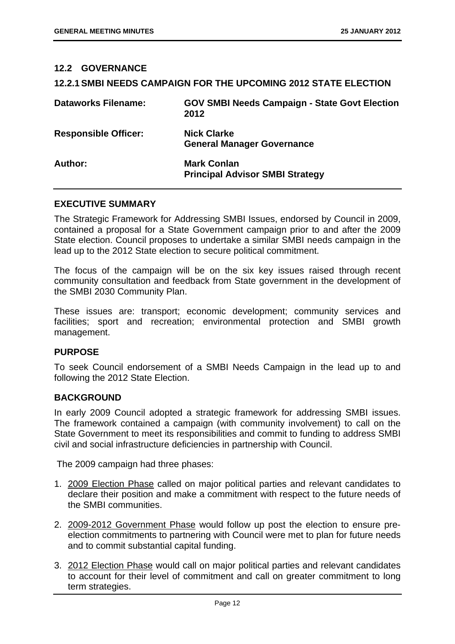# **12.2 GOVERNANCE 12.2.1 SMBI NEEDS CAMPAIGN FOR THE UPCOMING 2012 STATE ELECTION Dataworks Filename: GOV SMBI Needs Campaign - State Govt Election 2012 Responsible Officer: Nick Clarke General Manager Governance**  Author: **Mark Conlan Principal Advisor SMBI Strategy**

#### **EXECUTIVE SUMMARY**

The Strategic Framework for Addressing SMBI Issues, endorsed by Council in 2009, contained a proposal for a State Government campaign prior to and after the 2009 State election. Council proposes to undertake a similar SMBI needs campaign in the lead up to the 2012 State election to secure political commitment.

The focus of the campaign will be on the six key issues raised through recent community consultation and feedback from State government in the development of the SMBI 2030 Community Plan.

These issues are: transport; economic development; community services and facilities; sport and recreation; environmental protection and SMBI growth management.

## **PURPOSE**

To seek Council endorsement of a SMBI Needs Campaign in the lead up to and following the 2012 State Election.

#### **BACKGROUND**

In early 2009 Council adopted a strategic framework for addressing SMBI issues. The framework contained a campaign (with community involvement) to call on the State Government to meet its responsibilities and commit to funding to address SMBI civil and social infrastructure deficiencies in partnership with Council.

The 2009 campaign had three phases:

- 1. 2009 Election Phase called on major political parties and relevant candidates to declare their position and make a commitment with respect to the future needs of the SMBI communities.
- 2. 2009-2012 Government Phase would follow up post the election to ensure preelection commitments to partnering with Council were met to plan for future needs and to commit substantial capital funding.
- 3. 2012 Election Phase would call on major political parties and relevant candidates to account for their level of commitment and call on greater commitment to long term strategies.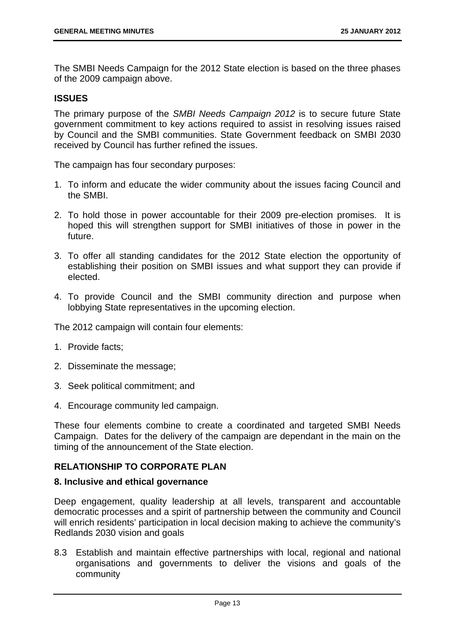The SMBI Needs Campaign for the 2012 State election is based on the three phases of the 2009 campaign above.

# **ISSUES**

The primary purpose of the *SMBI Needs Campaign 2012* is to secure future State government commitment to key actions required to assist in resolving issues raised by Council and the SMBI communities. State Government feedback on SMBI 2030 received by Council has further refined the issues.

The campaign has four secondary purposes:

- 1. To inform and educate the wider community about the issues facing Council and the SMBI.
- 2. To hold those in power accountable for their 2009 pre-election promises. It is hoped this will strengthen support for SMBI initiatives of those in power in the future.
- 3. To offer all standing candidates for the 2012 State election the opportunity of establishing their position on SMBI issues and what support they can provide if elected.
- 4. To provide Council and the SMBI community direction and purpose when lobbying State representatives in the upcoming election.

The 2012 campaign will contain four elements:

- 1. Provide facts;
- 2. Disseminate the message;
- 3. Seek political commitment; and
- 4. Encourage community led campaign.

These four elements combine to create a coordinated and targeted SMBI Needs Campaign. Dates for the delivery of the campaign are dependant in the main on the timing of the announcement of the State election.

## **RELATIONSHIP TO CORPORATE PLAN**

# **8. Inclusive and ethical governance**

Deep engagement, quality leadership at all levels, transparent and accountable democratic processes and a spirit of partnership between the community and Council will enrich residents' participation in local decision making to achieve the community's Redlands 2030 vision and goals

8.3 Establish and maintain effective partnerships with local, regional and national organisations and governments to deliver the visions and goals of the community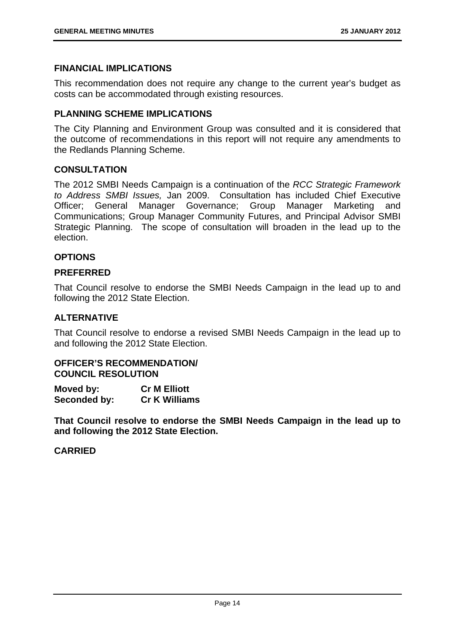## **FINANCIAL IMPLICATIONS**

This recommendation does not require any change to the current year's budget as costs can be accommodated through existing resources.

## **PLANNING SCHEME IMPLICATIONS**

The City Planning and Environment Group was consulted and it is considered that the outcome of recommendations in this report will not require any amendments to the Redlands Planning Scheme.

# **CONSULTATION**

The 2012 SMBI Needs Campaign is a continuation of the *RCC Strategic Framework to Address SMBI Issues,* Jan 2009. Consultation has included Chief Executive Officer; General Manager Governance; Group Manager Marketing and Communications; Group Manager Community Futures, and Principal Advisor SMBI Strategic Planning. The scope of consultation will broaden in the lead up to the election.

# **OPTIONS**

## **PREFERRED**

That Council resolve to endorse the SMBI Needs Campaign in the lead up to and following the 2012 State Election.

# **ALTERNATIVE**

That Council resolve to endorse a revised SMBI Needs Campaign in the lead up to and following the 2012 State Election.

### **OFFICER'S RECOMMENDATION/ COUNCIL RESOLUTION**

| Moved by:    | <b>Cr M Elliott</b>  |
|--------------|----------------------|
| Seconded by: | <b>Cr K Williams</b> |

**That Council resolve to endorse the SMBI Needs Campaign in the lead up to and following the 2012 State Election.**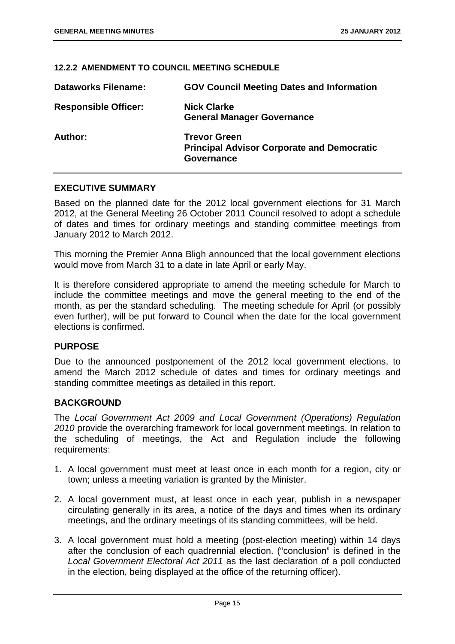### **12.2.2 AMENDMENT TO COUNCIL MEETING SCHEDULE**

| <b>Dataworks Filename:</b>  | <b>GOV Council Meeting Dates and Information</b>                                       |
|-----------------------------|----------------------------------------------------------------------------------------|
| <b>Responsible Officer:</b> | <b>Nick Clarke</b><br><b>General Manager Governance</b>                                |
| Author:                     | <b>Trevor Green</b><br><b>Principal Advisor Corporate and Democratic</b><br>Governance |

# **EXECUTIVE SUMMARY**

Based on the planned date for the 2012 local government elections for 31 March 2012, at the General Meeting 26 October 2011 Council resolved to adopt a schedule of dates and times for ordinary meetings and standing committee meetings from January 2012 to March 2012.

This morning the Premier Anna Bligh announced that the local government elections would move from March 31 to a date in late April or early May.

It is therefore considered appropriate to amend the meeting schedule for March to include the committee meetings and move the general meeting to the end of the month, as per the standard scheduling. The meeting schedule for April (or possibly even further), will be put forward to Council when the date for the local government elections is confirmed.

## **PURPOSE**

Due to the announced postponement of the 2012 local government elections, to amend the March 2012 schedule of dates and times for ordinary meetings and standing committee meetings as detailed in this report.

## **BACKGROUND**

The *Local Government Act 2009 and Local Government (Operations) Regulation 2010* provide the overarching framework for local government meetings. In relation to the scheduling of meetings, the Act and Regulation include the following requirements:

- 1. A local government must meet at least once in each month for a region, city or town; unless a meeting variation is granted by the Minister.
- 2. A local government must, at least once in each year, publish in a newspaper circulating generally in its area, a notice of the days and times when its ordinary meetings, and the ordinary meetings of its standing committees, will be held.
- 3. A local government must hold a meeting (post-election meeting) within 14 days after the conclusion of each quadrennial election. ("conclusion" is defined in the *Local Government Electoral Act 2011* as the last declaration of a poll conducted in the election, being displayed at the office of the returning officer).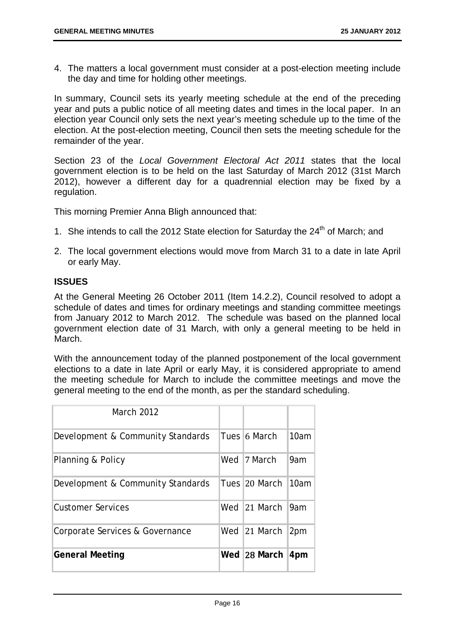4. The matters a local government must consider at a post-election meeting include the day and time for holding other meetings.

In summary, Council sets its yearly meeting schedule at the end of the preceding year and puts a public notice of all meeting dates and times in the local paper. In an election year Council only sets the next year's meeting schedule up to the time of the election. At the post-election meeting, Council then sets the meeting schedule for the remainder of the year.

Section 23 of the *Local Government Electoral Act 2011* states that the local government election is to be held on the last Saturday of March 2012 (31st March 2012), however a different day for a quadrennial election may be fixed by a regulation.

This morning Premier Anna Bligh announced that:

- 1. She intends to call the 2012 State election for Saturday the  $24<sup>th</sup>$  of March; and
- 2. The local government elections would move from March 31 to a date in late April or early May.

# **ISSUES**

At the General Meeting 26 October 2011 (Item 14.2.2), Council resolved to adopt a schedule of dates and times for ordinary meetings and standing committee meetings from January 2012 to March 2012. The schedule was based on the planned local government election date of 31 March, with only a general meeting to be held in March.

With the announcement today of the planned postponement of the local government elections to a date in late April or early May, it is considered appropriate to amend the meeting schedule for March to include the committee meetings and move the general meeting to the end of the month, as per the standard scheduling.

| <b>March 2012</b>                 |               |      |
|-----------------------------------|---------------|------|
| Development & Community Standards | Tues 16 March | 10am |
| Planning & Policy                 | Wed 17 March  | 9am  |
| Development & Community Standards | Tues 20 March | 10am |
| <b>Customer Services</b>          | Wed 21 March  | 9am  |
| Corporate Services & Governance   | Wed 21 March  | 2pm  |
| <b>General Meeting</b>            | Wed 28 March  | 4pm  |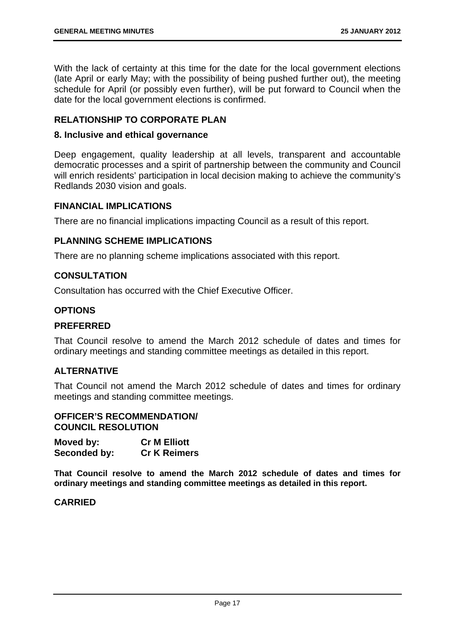With the lack of certainty at this time for the date for the local government elections (late April or early May; with the possibility of being pushed further out), the meeting schedule for April (or possibly even further), will be put forward to Council when the date for the local government elections is confirmed.

# **RELATIONSHIP TO CORPORATE PLAN**

## **8. Inclusive and ethical governance**

Deep engagement, quality leadership at all levels, transparent and accountable democratic processes and a spirit of partnership between the community and Council will enrich residents' participation in local decision making to achieve the community's Redlands 2030 vision and goals.

# **FINANCIAL IMPLICATIONS**

There are no financial implications impacting Council as a result of this report.

# **PLANNING SCHEME IMPLICATIONS**

There are no planning scheme implications associated with this report.

# **CONSULTATION**

Consultation has occurred with the Chief Executive Officer.

# **OPTIONS**

# **PREFERRED**

That Council resolve to amend the March 2012 schedule of dates and times for ordinary meetings and standing committee meetings as detailed in this report.

# **ALTERNATIVE**

That Council not amend the March 2012 schedule of dates and times for ordinary meetings and standing committee meetings.

## **OFFICER'S RECOMMENDATION/ COUNCIL RESOLUTION**

| Moved by:    | <b>Cr M Elliott</b> |
|--------------|---------------------|
| Seconded by: | <b>Cr K Reimers</b> |

**That Council resolve to amend the March 2012 schedule of dates and times for ordinary meetings and standing committee meetings as detailed in this report.**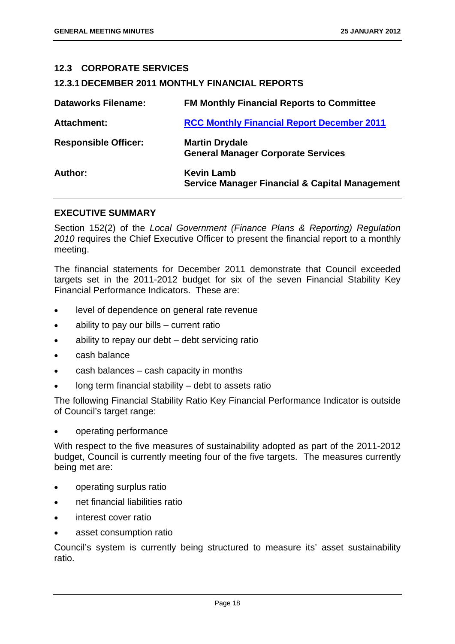# **12.3 CORPORATE SERVICES**

## **12.3.1 DECEMBER 2011 MONTHLY FINANCIAL REPORTS**

| <b>Dataworks Filename:</b>  | <b>FM Monthly Financial Reports to Committee</b>                               |
|-----------------------------|--------------------------------------------------------------------------------|
| <b>Attachment:</b>          | <b>RCC Monthly Financial Report December 2011</b>                              |
| <b>Responsible Officer:</b> | <b>Martin Drydale</b><br><b>General Manager Corporate Services</b>             |
| Author:                     | <b>Kevin Lamb</b><br><b>Service Manager Financial &amp; Capital Management</b> |

## **EXECUTIVE SUMMARY**

Section 152(2) of the *Local Government (Finance Plans & Reporting) Regulation 2010* requires the Chief Executive Officer to present the financial report to a monthly meeting.

The financial statements for December 2011 demonstrate that Council exceeded targets set in the 2011-2012 budget for six of the seven Financial Stability Key Financial Performance Indicators. These are:

- level of dependence on general rate revenue
- ability to pay our bills current ratio
- ability to repay our debt debt servicing ratio
- cash balance
- cash balances cash capacity in months
- long term financial stability debt to assets ratio

The following Financial Stability Ratio Key Financial Performance Indicator is outside of Council's target range:

operating performance

With respect to the five measures of sustainability adopted as part of the 2011-2012 budget, Council is currently meeting four of the five targets. The measures currently being met are:

- operating surplus ratio
- net financial liabilities ratio
- interest cover ratio
- asset consumption ratio

Council's system is currently being structured to measure its' asset sustainability ratio.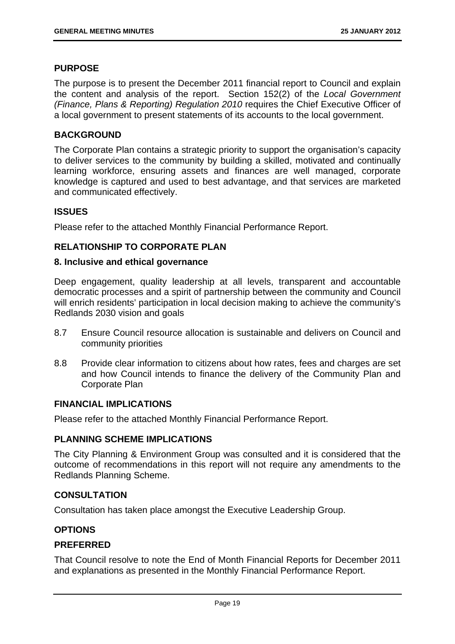# **PURPOSE**

The purpose is to present the December 2011 financial report to Council and explain the content and analysis of the report. Section 152(2) of the *Local Government (Finance, Plans & Reporting) Regulation 2010* requires the Chief Executive Officer of a local government to present statements of its accounts to the local government.

# **BACKGROUND**

The Corporate Plan contains a strategic priority to support the organisation's capacity to deliver services to the community by building a skilled, motivated and continually learning workforce, ensuring assets and finances are well managed, corporate knowledge is captured and used to best advantage, and that services are marketed and communicated effectively.

# **ISSUES**

Please refer to the attached Monthly Financial Performance Report.

# **RELATIONSHIP TO CORPORATE PLAN**

## **8. Inclusive and ethical governance**

Deep engagement, quality leadership at all levels, transparent and accountable democratic processes and a spirit of partnership between the community and Council will enrich residents' participation in local decision making to achieve the community's Redlands 2030 vision and goals

- 8.7 Ensure Council resource allocation is sustainable and delivers on Council and community priorities
- 8.8 Provide clear information to citizens about how rates, fees and charges are set and how Council intends to finance the delivery of the Community Plan and Corporate Plan

## **FINANCIAL IMPLICATIONS**

Please refer to the attached Monthly Financial Performance Report.

## **PLANNING SCHEME IMPLICATIONS**

The City Planning & Environment Group was consulted and it is considered that the outcome of recommendations in this report will not require any amendments to the Redlands Planning Scheme.

# **CONSULTATION**

Consultation has taken place amongst the Executive Leadership Group.

# **OPTIONS**

## **PREFERRED**

That Council resolve to note the End of Month Financial Reports for December 2011 and explanations as presented in the Monthly Financial Performance Report.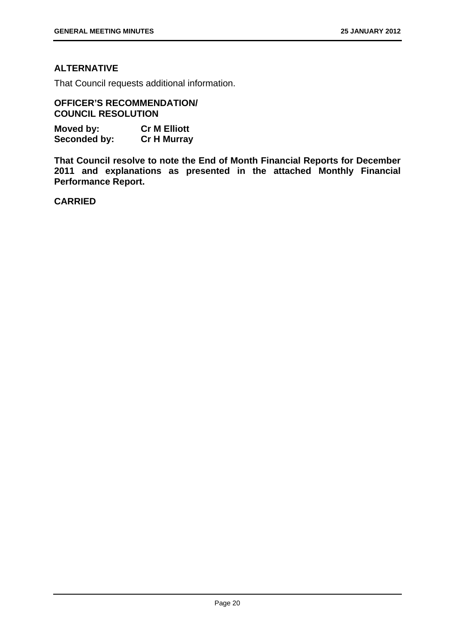# **ALTERNATIVE**

That Council requests additional information.

**OFFICER'S RECOMMENDATION/ COUNCIL RESOLUTION** 

| Moved by:    | <b>Cr M Elliott</b> |
|--------------|---------------------|
| Seconded by: | <b>Cr H Murray</b>  |

**That Council resolve to note the End of Month Financial Reports for December 2011 and explanations as presented in the attached Monthly Financial Performance Report.**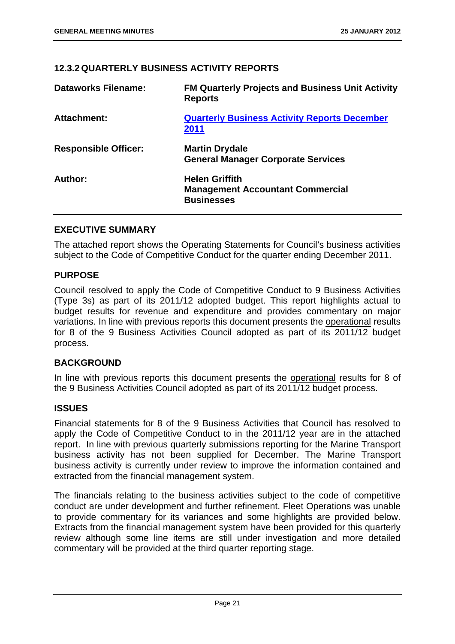# **12.3.2 QUARTERLY BUSINESS ACTIVITY REPORTS**

| <b>Dataworks Filename:</b>  | <b>FM Quarterly Projects and Business Unit Activity</b><br><b>Reports</b>             |
|-----------------------------|---------------------------------------------------------------------------------------|
| <b>Attachment:</b>          | <b>Quarterly Business Activity Reports December</b><br>2011                           |
| <b>Responsible Officer:</b> | <b>Martin Drydale</b><br><b>General Manager Corporate Services</b>                    |
| Author:                     | <b>Helen Griffith</b><br><b>Management Accountant Commercial</b><br><b>Businesses</b> |

# **EXECUTIVE SUMMARY**

The attached report shows the Operating Statements for Council's business activities subject to the Code of Competitive Conduct for the quarter ending December 2011.

# **PURPOSE**

Council resolved to apply the Code of Competitive Conduct to 9 Business Activities (Type 3s) as part of its 2011/12 adopted budget. This report highlights actual to budget results for revenue and expenditure and provides commentary on major variations. In line with previous reports this document presents the operational results for 8 of the 9 Business Activities Council adopted as part of its 2011/12 budget process.

# **BACKGROUND**

In line with previous reports this document presents the operational results for 8 of the 9 Business Activities Council adopted as part of its 2011/12 budget process.

# **ISSUES**

Financial statements for 8 of the 9 Business Activities that Council has resolved to apply the Code of Competitive Conduct to in the 2011/12 year are in the attached report. In line with previous quarterly submissions reporting for the Marine Transport business activity has not been supplied for December. The Marine Transport business activity is currently under review to improve the information contained and extracted from the financial management system.

The financials relating to the business activities subject to the code of competitive conduct are under development and further refinement. Fleet Operations was unable to provide commentary for its variances and some highlights are provided below. Extracts from the financial management system have been provided for this quarterly review although some line items are still under investigation and more detailed commentary will be provided at the third quarter reporting stage.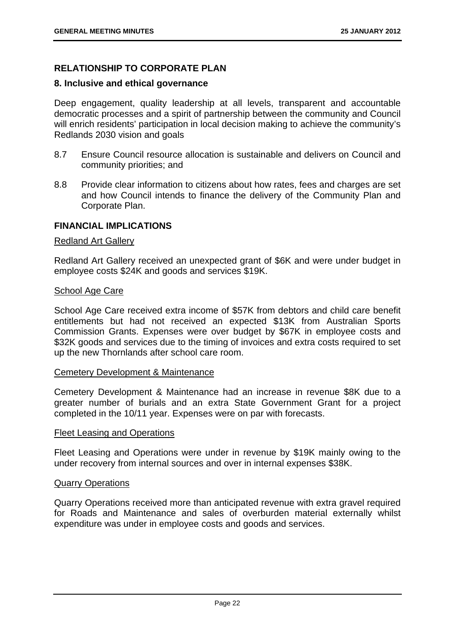# **RELATIONSHIP TO CORPORATE PLAN**

## **8. Inclusive and ethical governance**

Deep engagement, quality leadership at all levels, transparent and accountable democratic processes and a spirit of partnership between the community and Council will enrich residents' participation in local decision making to achieve the community's Redlands 2030 vision and goals

- 8.7 Ensure Council resource allocation is sustainable and delivers on Council and community priorities; and
- 8.8 Provide clear information to citizens about how rates, fees and charges are set and how Council intends to finance the delivery of the Community Plan and Corporate Plan.

## **FINANCIAL IMPLICATIONS**

## Redland Art Gallery

Redland Art Gallery received an unexpected grant of \$6K and were under budget in employee costs \$24K and goods and services \$19K.

## School Age Care

School Age Care received extra income of \$57K from debtors and child care benefit entitlements but had not received an expected \$13K from Australian Sports Commission Grants. Expenses were over budget by \$67K in employee costs and \$32K goods and services due to the timing of invoices and extra costs required to set up the new Thornlands after school care room.

## Cemetery Development & Maintenance

Cemetery Development & Maintenance had an increase in revenue \$8K due to a greater number of burials and an extra State Government Grant for a project completed in the 10/11 year. Expenses were on par with forecasts.

#### Fleet Leasing and Operations

Fleet Leasing and Operations were under in revenue by \$19K mainly owing to the under recovery from internal sources and over in internal expenses \$38K.

## Quarry Operations

Quarry Operations received more than anticipated revenue with extra gravel required for Roads and Maintenance and sales of overburden material externally whilst expenditure was under in employee costs and goods and services.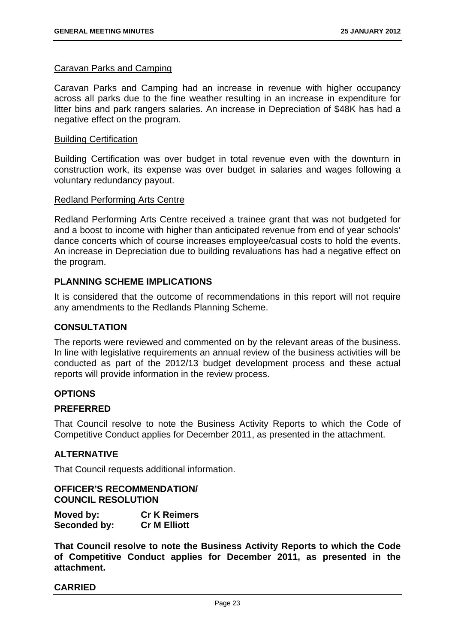#### Caravan Parks and Camping

Caravan Parks and Camping had an increase in revenue with higher occupancy across all parks due to the fine weather resulting in an increase in expenditure for litter bins and park rangers salaries. An increase in Depreciation of \$48K has had a negative effect on the program.

#### Building Certification

Building Certification was over budget in total revenue even with the downturn in construction work, its expense was over budget in salaries and wages following a voluntary redundancy payout.

#### Redland Performing Arts Centre

Redland Performing Arts Centre received a trainee grant that was not budgeted for and a boost to income with higher than anticipated revenue from end of year schools' dance concerts which of course increases employee/casual costs to hold the events. An increase in Depreciation due to building revaluations has had a negative effect on the program.

# **PLANNING SCHEME IMPLICATIONS**

It is considered that the outcome of recommendations in this report will not require any amendments to the Redlands Planning Scheme.

## **CONSULTATION**

The reports were reviewed and commented on by the relevant areas of the business. In line with legislative requirements an annual review of the business activities will be conducted as part of the 2012/13 budget development process and these actual reports will provide information in the review process.

## **OPTIONS**

## **PREFERRED**

That Council resolve to note the Business Activity Reports to which the Code of Competitive Conduct applies for December 2011, as presented in the attachment.

## **ALTERNATIVE**

That Council requests additional information.

# **OFFICER'S RECOMMENDATION/ COUNCIL RESOLUTION**

| Moved by:    | <b>Cr K Reimers</b> |
|--------------|---------------------|
| Seconded by: | <b>Cr M Elliott</b> |

**That Council resolve to note the Business Activity Reports to which the Code of Competitive Conduct applies for December 2011, as presented in the attachment.**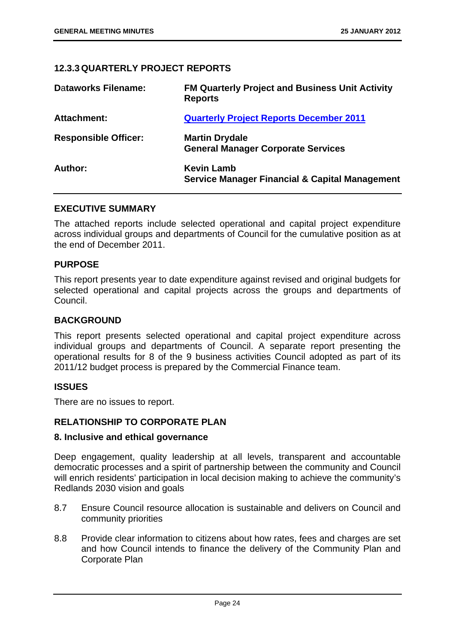# **12.3.3 QUARTERLY PROJECT REPORTS**

| <b>Dataworks Filename:</b>  | <b>FM Quarterly Project and Business Unit Activity</b><br><b>Reports</b>       |
|-----------------------------|--------------------------------------------------------------------------------|
| Attachment:                 | <b>Quarterly Project Reports December 2011</b>                                 |
| <b>Responsible Officer:</b> | <b>Martin Drydale</b><br><b>General Manager Corporate Services</b>             |
| Author:                     | <b>Kevin Lamb</b><br><b>Service Manager Financial &amp; Capital Management</b> |

# **EXECUTIVE SUMMARY**

The attached reports include selected operational and capital project expenditure across individual groups and departments of Council for the cumulative position as at the end of December 2011.

# **PURPOSE**

This report presents year to date expenditure against revised and original budgets for selected operational and capital projects across the groups and departments of Council.

## **BACKGROUND**

This report presents selected operational and capital project expenditure across individual groups and departments of Council. A separate report presenting the operational results for 8 of the 9 business activities Council adopted as part of its 2011/12 budget process is prepared by the Commercial Finance team.

# **ISSUES**

There are no issues to report.

# **RELATIONSHIP TO CORPORATE PLAN**

## **8. Inclusive and ethical governance**

Deep engagement, quality leadership at all levels, transparent and accountable democratic processes and a spirit of partnership between the community and Council will enrich residents' participation in local decision making to achieve the community's Redlands 2030 vision and goals

- 8.7 Ensure Council resource allocation is sustainable and delivers on Council and community priorities
- 8.8 Provide clear information to citizens about how rates, fees and charges are set and how Council intends to finance the delivery of the Community Plan and Corporate Plan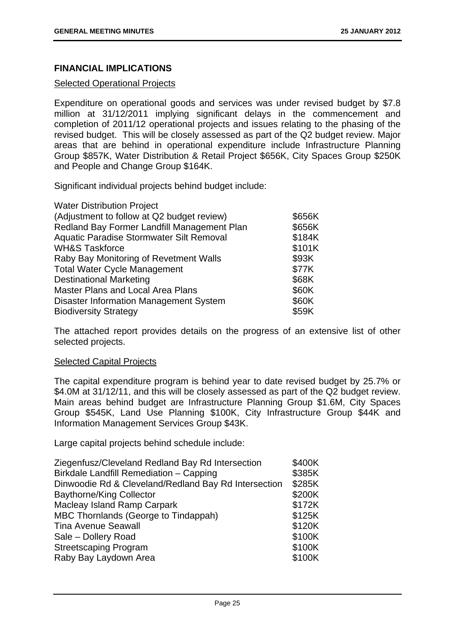# **FINANCIAL IMPLICATIONS**

# Selected Operational Projects

Expenditure on operational goods and services was under revised budget by \$7.8 million at 31/12/2011 implying significant delays in the commencement and completion of 2011/12 operational projects and issues relating to the phasing of the revised budget. This will be closely assessed as part of the Q2 budget review. Major areas that are behind in operational expenditure include Infrastructure Planning Group \$857K, Water Distribution & Retail Project \$656K, City Spaces Group \$250K and People and Change Group \$164K.

Significant individual projects behind budget include:

| <b>Water Distribution Project</b>             |        |
|-----------------------------------------------|--------|
| (Adjustment to follow at Q2 budget review)    | \$656K |
| Redland Bay Former Landfill Management Plan   | \$656K |
| Aquatic Paradise Stormwater Silt Removal      | \$184K |
| <b>WH&amp;S Taskforce</b>                     | \$101K |
| Raby Bay Monitoring of Revetment Walls        | \$93K  |
| <b>Total Water Cycle Management</b>           | \$77K  |
| <b>Destinational Marketing</b>                | \$68K  |
| <b>Master Plans and Local Area Plans</b>      | \$60K  |
| <b>Disaster Information Management System</b> | \$60K  |
| <b>Biodiversity Strategy</b>                  | \$59K  |

The attached report provides details on the progress of an extensive list of other selected projects.

## Selected Capital Projects

The capital expenditure program is behind year to date revised budget by 25.7% or \$4.0M at 31/12/11, and this will be closely assessed as part of the Q2 budget review. Main areas behind budget are Infrastructure Planning Group \$1.6M, City Spaces Group \$545K, Land Use Planning \$100K, City Infrastructure Group \$44K and Information Management Services Group \$43K.

Large capital projects behind schedule include:

| \$400K |
|--------|
| \$385K |
| \$285K |
| \$200K |
| \$172K |
| \$125K |
| \$120K |
| \$100K |
| \$100K |
| \$100K |
|        |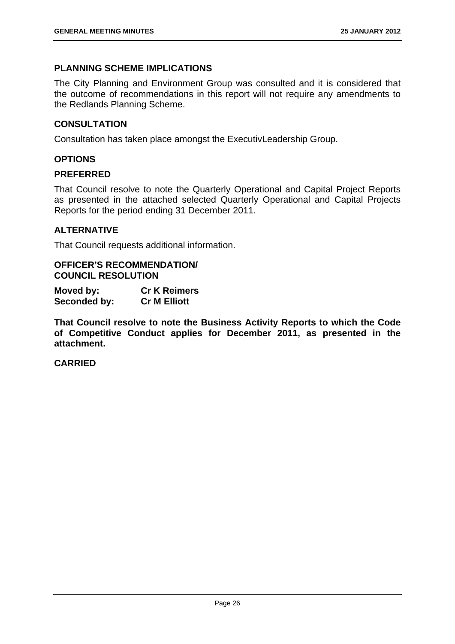# **PLANNING SCHEME IMPLICATIONS**

The City Planning and Environment Group was consulted and it is considered that the outcome of recommendations in this report will not require any amendments to the Redlands Planning Scheme.

# **CONSULTATION**

Consultation has taken place amongst the ExecutivLeadership Group.

# **OPTIONS**

## **PREFERRED**

That Council resolve to note the Quarterly Operational and Capital Project Reports as presented in the attached selected Quarterly Operational and Capital Projects Reports for the period ending 31 December 2011.

## **ALTERNATIVE**

That Council requests additional information.

## **OFFICER'S RECOMMENDATION/ COUNCIL RESOLUTION**

| Moved by:    | <b>Cr K Reimers</b> |
|--------------|---------------------|
| Seconded by: | <b>Cr M Elliott</b> |

**That Council resolve to note the Business Activity Reports to which the Code of Competitive Conduct applies for December 2011, as presented in the attachment.**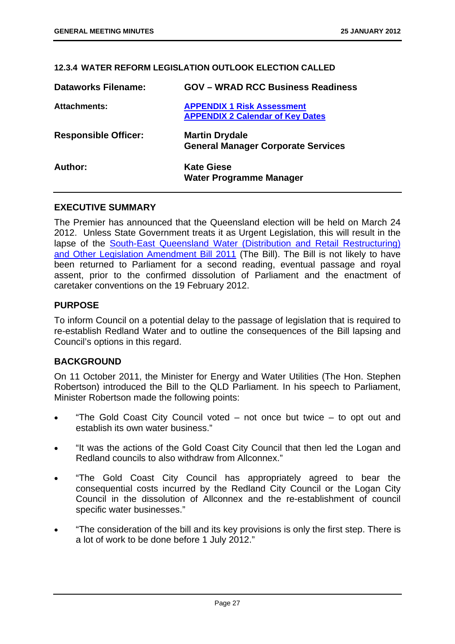## **12.3.4 WATER REFORM LEGISLATION OUTLOOK ELECTION CALLED**

| <b>Dataworks Filename:</b>  | <b>GOV - WRAD RCC Business Readiness</b>                                     |
|-----------------------------|------------------------------------------------------------------------------|
| Attachments:                | <b>APPENDIX 1 Risk Assessment</b><br><b>APPENDIX 2 Calendar of Key Dates</b> |
| <b>Responsible Officer:</b> | <b>Martin Drydale</b><br><b>General Manager Corporate Services</b>           |
| Author:                     | <b>Kate Giese</b><br>Water Programme Manager                                 |

## **EXECUTIVE SUMMARY**

The Premier has announced that the Queensland election will be held on March 24 2012. Unless State Government treats it as Urgent Legislation, this will result in the lapse of the South-East Queensland Water (Distribution and Retail Restructuring) and Other Legislation Amendment Bill 2011 (The Bill). The Bill is not likely to have been returned to Parliament for a second reading, eventual passage and royal assent, prior to the confirmed dissolution of Parliament and the enactment of caretaker conventions on the 19 February 2012.

## **PURPOSE**

To inform Council on a potential delay to the passage of legislation that is required to re-establish Redland Water and to outline the consequences of the Bill lapsing and Council's options in this regard.

## **BACKGROUND**

On 11 October 2011, the Minister for Energy and Water Utilities (The Hon. Stephen Robertson) introduced the Bill to the QLD Parliament. In his speech to Parliament, Minister Robertson made the following points:

- "The Gold Coast City Council voted not once but twice to opt out and establish its own water business."
- "It was the actions of the Gold Coast City Council that then led the Logan and Redland councils to also withdraw from Allconnex."
- "The Gold Coast City Council has appropriately agreed to bear the consequential costs incurred by the Redland City Council or the Logan City Council in the dissolution of Allconnex and the re-establishment of council specific water businesses."
- "The consideration of the bill and its key provisions is only the first step. There is a lot of work to be done before 1 July 2012."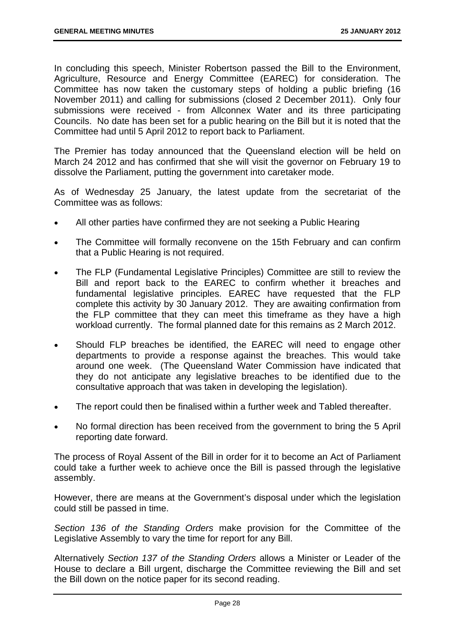In concluding this speech, Minister Robertson passed the Bill to the Environment, Agriculture, Resource and Energy Committee (EAREC) for consideration. The Committee has now taken the customary steps of holding a public briefing (16 November 2011) and calling for submissions (closed 2 December 2011). Only four submissions were received - from Allconnex Water and its three participating Councils. No date has been set for a public hearing on the Bill but it is noted that the Committee had until 5 April 2012 to report back to Parliament.

The Premier has today announced that the Queensland election will be held on March 24 2012 and has confirmed that she will visit the governor on February 19 to dissolve the Parliament, putting the government into caretaker mode.

As of Wednesday 25 January, the latest update from the secretariat of the Committee was as follows:

- All other parties have confirmed they are not seeking a Public Hearing
- The Committee will formally reconvene on the 15th February and can confirm that a Public Hearing is not required.
- The FLP (Fundamental Legislative Principles) Committee are still to review the Bill and report back to the EAREC to confirm whether it breaches and fundamental legislative principles. EAREC have requested that the FLP complete this activity by 30 January 2012. They are awaiting confirmation from the FLP committee that they can meet this timeframe as they have a high workload currently. The formal planned date for this remains as 2 March 2012.
- Should FLP breaches be identified, the EAREC will need to engage other departments to provide a response against the breaches. This would take around one week. (The Queensland Water Commission have indicated that they do not anticipate any legislative breaches to be identified due to the consultative approach that was taken in developing the legislation).
- The report could then be finalised within a further week and Tabled thereafter.
- No formal direction has been received from the government to bring the 5 April reporting date forward.

The process of Royal Assent of the Bill in order for it to become an Act of Parliament could take a further week to achieve once the Bill is passed through the legislative assembly.

However, there are means at the Government's disposal under which the legislation could still be passed in time.

*Section 136 of the Standing Orders* make provision for the Committee of the Legislative Assembly to vary the time for report for any Bill.

Alternatively *Section 137 of the Standing Orders* allows a Minister or Leader of the House to declare a Bill urgent, discharge the Committee reviewing the Bill and set the Bill down on the notice paper for its second reading.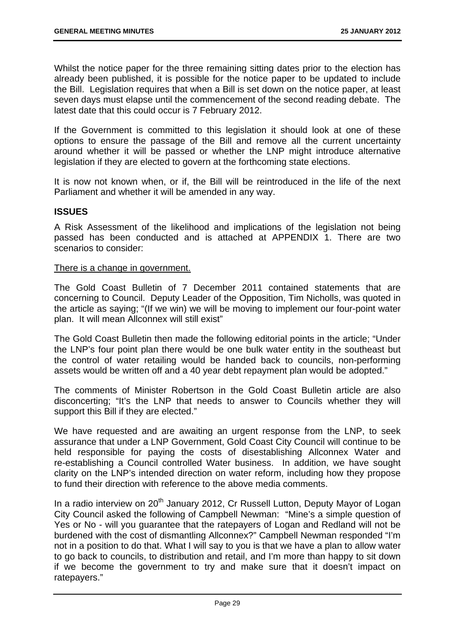Whilst the notice paper for the three remaining sitting dates prior to the election has already been published, it is possible for the notice paper to be updated to include the Bill. Legislation requires that when a Bill is set down on the notice paper, at least seven days must elapse until the commencement of the second reading debate. The latest date that this could occur is 7 February 2012.

If the Government is committed to this legislation it should look at one of these options to ensure the passage of the Bill and remove all the current uncertainty around whether it will be passed or whether the LNP might introduce alternative legislation if they are elected to govern at the forthcoming state elections.

It is now not known when, or if, the Bill will be reintroduced in the life of the next Parliament and whether it will be amended in any way.

# **ISSUES**

A Risk Assessment of the likelihood and implications of the legislation not being passed has been conducted and is attached at APPENDIX 1. There are two scenarios to consider:

# There is a change in government.

The Gold Coast Bulletin of 7 December 2011 contained statements that are concerning to Council. Deputy Leader of the Opposition, Tim Nicholls, was quoted in the article as saying; "(If we win) we will be moving to implement our four-point water plan. It will mean Allconnex will still exist"

The Gold Coast Bulletin then made the following editorial points in the article; "Under the LNP's four point plan there would be one bulk water entity in the southeast but the control of water retailing would be handed back to councils, non-performing assets would be written off and a 40 year debt repayment plan would be adopted."

The comments of Minister Robertson in the Gold Coast Bulletin article are also disconcerting; "It's the LNP that needs to answer to Councils whether they will support this Bill if they are elected."

We have requested and are awaiting an urgent response from the LNP, to seek assurance that under a LNP Government, Gold Coast City Council will continue to be held responsible for paying the costs of disestablishing Allconnex Water and re-establishing a Council controlled Water business. In addition, we have sought clarity on the LNP's intended direction on water reform, including how they propose to fund their direction with reference to the above media comments.

In a radio interview on  $20<sup>th</sup>$  January 2012, Cr Russell Lutton, Deputy Mayor of Logan City Council asked the following of Campbell Newman: "Mine's a simple question of Yes or No - will you guarantee that the ratepayers of Logan and Redland will not be burdened with the cost of dismantling Allconnex?" Campbell Newman responded "I'm not in a position to do that. What I will say to you is that we have a plan to allow water to go back to councils, to distribution and retail, and I'm more than happy to sit down if we become the government to try and make sure that it doesn't impact on ratepayers."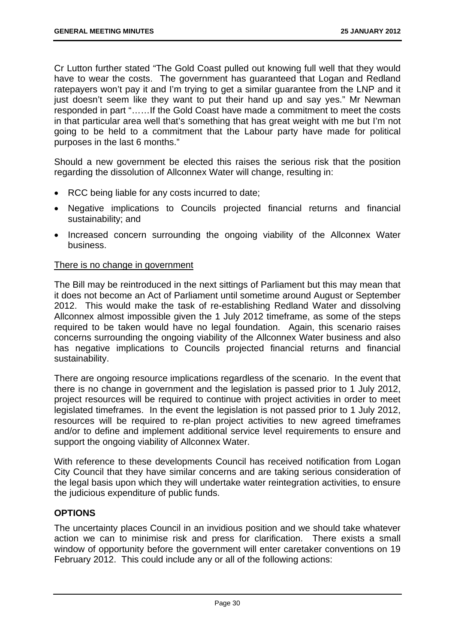Cr Lutton further stated "The Gold Coast pulled out knowing full well that they would have to wear the costs. The government has guaranteed that Logan and Redland ratepayers won't pay it and I'm trying to get a similar guarantee from the LNP and it just doesn't seem like they want to put their hand up and say yes." Mr Newman responded in part "……If the Gold Coast have made a commitment to meet the costs in that particular area well that's something that has great weight with me but I'm not going to be held to a commitment that the Labour party have made for political purposes in the last 6 months."

Should a new government be elected this raises the serious risk that the position regarding the dissolution of Allconnex Water will change, resulting in:

- RCC being liable for any costs incurred to date;
- Negative implications to Councils projected financial returns and financial sustainability; and
- Increased concern surrounding the ongoing viability of the Allconnex Water business.

# There is no change in government

The Bill may be reintroduced in the next sittings of Parliament but this may mean that it does not become an Act of Parliament until sometime around August or September 2012. This would make the task of re-establishing Redland Water and dissolving Allconnex almost impossible given the 1 July 2012 timeframe, as some of the steps required to be taken would have no legal foundation. Again, this scenario raises concerns surrounding the ongoing viability of the Allconnex Water business and also has negative implications to Councils projected financial returns and financial sustainability.

There are ongoing resource implications regardless of the scenario. In the event that there is no change in government and the legislation is passed prior to 1 July 2012, project resources will be required to continue with project activities in order to meet legislated timeframes. In the event the legislation is not passed prior to 1 July 2012, resources will be required to re-plan project activities to new agreed timeframes and/or to define and implement additional service level requirements to ensure and support the ongoing viability of Allconnex Water.

With reference to these developments Council has received notification from Logan City Council that they have similar concerns and are taking serious consideration of the legal basis upon which they will undertake water reintegration activities, to ensure the judicious expenditure of public funds.

# **OPTIONS**

The uncertainty places Council in an invidious position and we should take whatever action we can to minimise risk and press for clarification. There exists a small window of opportunity before the government will enter caretaker conventions on 19 February 2012. This could include any or all of the following actions: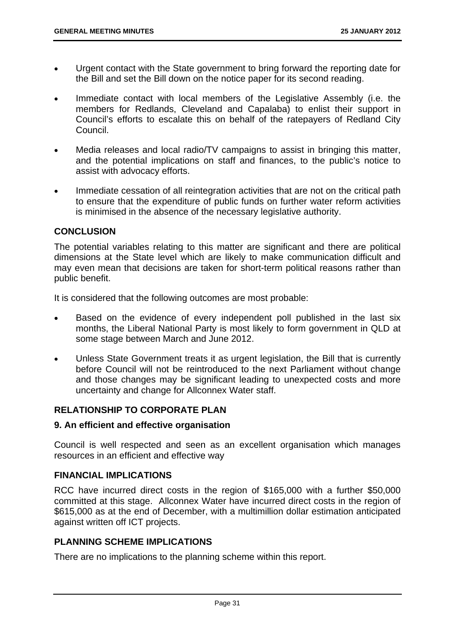- Urgent contact with the State government to bring forward the reporting date for the Bill and set the Bill down on the notice paper for its second reading.
- Immediate contact with local members of the Legislative Assembly (i.e. the members for Redlands, Cleveland and Capalaba) to enlist their support in Council's efforts to escalate this on behalf of the ratepayers of Redland City Council.
- Media releases and local radio/TV campaigns to assist in bringing this matter, and the potential implications on staff and finances, to the public's notice to assist with advocacy efforts.
- Immediate cessation of all reintegration activities that are not on the critical path to ensure that the expenditure of public funds on further water reform activities is minimised in the absence of the necessary legislative authority.

# **CONCLUSION**

The potential variables relating to this matter are significant and there are political dimensions at the State level which are likely to make communication difficult and may even mean that decisions are taken for short-term political reasons rather than public benefit.

It is considered that the following outcomes are most probable:

- Based on the evidence of every independent poll published in the last six months, the Liberal National Party is most likely to form government in QLD at some stage between March and June 2012.
- Unless State Government treats it as urgent legislation, the Bill that is currently before Council will not be reintroduced to the next Parliament without change and those changes may be significant leading to unexpected costs and more uncertainty and change for Allconnex Water staff.

# **RELATIONSHIP TO CORPORATE PLAN**

# **9. An efficient and effective organisation**

Council is well respected and seen as an excellent organisation which manages resources in an efficient and effective way

# **FINANCIAL IMPLICATIONS**

RCC have incurred direct costs in the region of \$165,000 with a further \$50,000 committed at this stage. Allconnex Water have incurred direct costs in the region of \$615,000 as at the end of December, with a multimillion dollar estimation anticipated against written off ICT projects.

# **PLANNING SCHEME IMPLICATIONS**

There are no implications to the planning scheme within this report.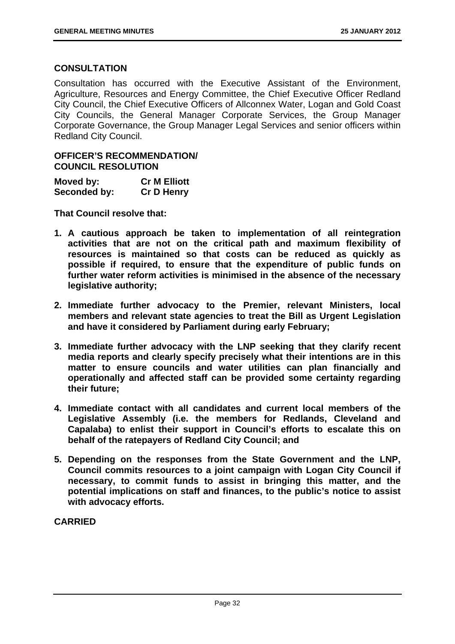# **CONSULTATION**

Consultation has occurred with the Executive Assistant of the Environment, Agriculture, Resources and Energy Committee, the Chief Executive Officer Redland City Council, the Chief Executive Officers of Allconnex Water, Logan and Gold Coast City Councils, the General Manager Corporate Services, the Group Manager Corporate Governance, the Group Manager Legal Services and senior officers within Redland City Council.

# **OFFICER'S RECOMMENDATION/ COUNCIL RESOLUTION**

| Moved by:    | <b>Cr M Elliott</b> |
|--------------|---------------------|
| Seconded by: | <b>Cr D Henry</b>   |

**That Council resolve that:** 

- **1. A cautious approach be taken to implementation of all reintegration activities that are not on the critical path and maximum flexibility of resources is maintained so that costs can be reduced as quickly as possible if required, to ensure that the expenditure of public funds on further water reform activities is minimised in the absence of the necessary legislative authority;**
- **2. Immediate further advocacy to the Premier, relevant Ministers, local members and relevant state agencies to treat the Bill as Urgent Legislation and have it considered by Parliament during early February;**
- **3. Immediate further advocacy with the LNP seeking that they clarify recent media reports and clearly specify precisely what their intentions are in this matter to ensure councils and water utilities can plan financially and operationally and affected staff can be provided some certainty regarding their future;**
- **4. Immediate contact with all candidates and current local members of the Legislative Assembly (i.e. the members for Redlands, Cleveland and Capalaba) to enlist their support in Council's efforts to escalate this on behalf of the ratepayers of Redland City Council; and**
- **5. Depending on the responses from the State Government and the LNP, Council commits resources to a joint campaign with Logan City Council if necessary, to commit funds to assist in bringing this matter, and the potential implications on staff and finances, to the public's notice to assist with advocacy efforts.**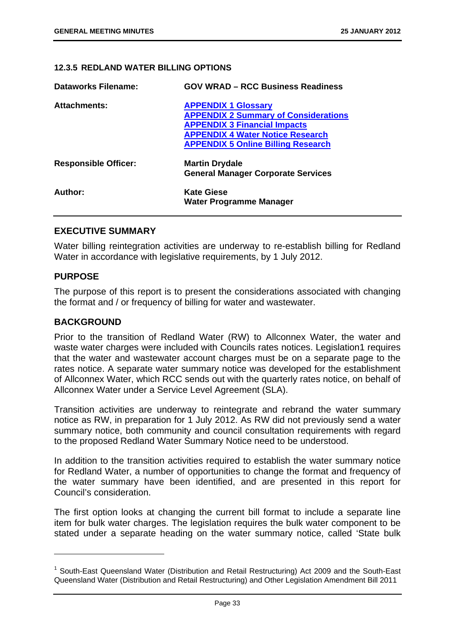#### **12.3.5 REDLAND WATER BILLING OPTIONS**

| Dataworks Filename:         | <b>GOV WRAD - RCC Business Readiness</b>                                                                                                                                                                 |
|-----------------------------|----------------------------------------------------------------------------------------------------------------------------------------------------------------------------------------------------------|
| <b>Attachments:</b>         | <b>APPENDIX 1 Glossary</b><br><b>APPENDIX 2 Summary of Considerations</b><br><b>APPENDIX 3 Financial Impacts</b><br><b>APPENDIX 4 Water Notice Research</b><br><b>APPENDIX 5 Online Billing Research</b> |
| <b>Responsible Officer:</b> | <b>Martin Drydale</b><br><b>General Manager Corporate Services</b>                                                                                                                                       |
| Author:                     | <b>Kate Giese</b><br><b>Water Programme Manager</b>                                                                                                                                                      |

# **EXECUTIVE SUMMARY**

Water billing reintegration activities are underway to re-establish billing for Redland Water in accordance with legislative requirements, by 1 July 2012.

# **PURPOSE**

-

The purpose of this report is to present the considerations associated with changing the format and / or frequency of billing for water and wastewater.

## **BACKGROUND**

Prior to the transition of Redland Water (RW) to Allconnex Water, the water and waste water charges were included with Councils rates notices. Legislation1 requires that the water and wastewater account charges must be on a separate page to the rates notice. A separate water summary notice was developed for the establishment of Allconnex Water, which RCC sends out with the quarterly rates notice, on behalf of Allconnex Water under a Service Level Agreement (SLA).

Transition activities are underway to reintegrate and rebrand the water summary notice as RW, in preparation for 1 July 2012. As RW did not previously send a water summary notice, both community and council consultation requirements with regard to the proposed Redland Water Summary Notice need to be understood.

In addition to the transition activities required to establish the water summary notice for Redland Water, a number of opportunities to change the format and frequency of the water summary have been identified, and are presented in this report for Council's consideration.

The first option looks at changing the current bill format to include a separate line item for bulk water charges. The legislation requires the bulk water component to be stated under a separate heading on the water summary notice, called 'State bulk

<sup>&</sup>lt;sup>1</sup> South-East Queensland Water (Distribution and Retail Restructuring) Act 2009 and the South-East Queensland Water (Distribution and Retail Restructuring) and Other Legislation Amendment Bill 2011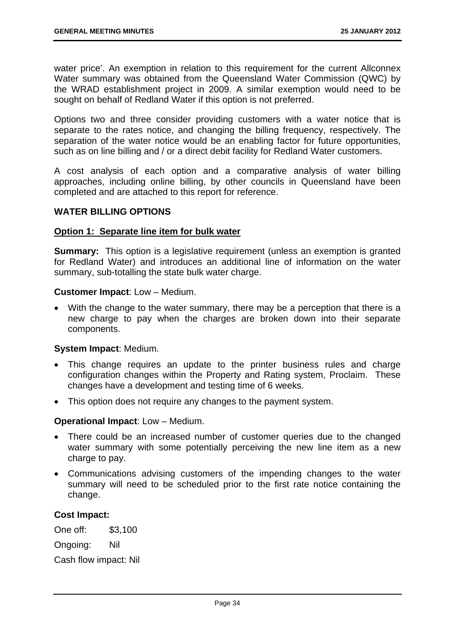water price'. An exemption in relation to this requirement for the current Allconnex Water summary was obtained from the Queensland Water Commission (QWC) by the WRAD establishment project in 2009. A similar exemption would need to be sought on behalf of Redland Water if this option is not preferred.

Options two and three consider providing customers with a water notice that is separate to the rates notice, and changing the billing frequency, respectively. The separation of the water notice would be an enabling factor for future opportunities, such as on line billing and / or a direct debit facility for Redland Water customers.

A cost analysis of each option and a comparative analysis of water billing approaches, including online billing, by other councils in Queensland have been completed and are attached to this report for reference.

#### **WATER BILLING OPTIONS**

#### **Option 1: Separate line item for bulk water**

**Summary:** This option is a legislative requirement (unless an exemption is granted for Redland Water) and introduces an additional line of information on the water summary, sub-totalling the state bulk water charge.

#### **Customer Impact**: Low – Medium.

 With the change to the water summary, there may be a perception that there is a new charge to pay when the charges are broken down into their separate components.

## **System Impact**: Medium.

- This change requires an update to the printer business rules and charge configuration changes within the Property and Rating system, Proclaim. These changes have a development and testing time of 6 weeks.
- This option does not require any changes to the payment system.

#### **Operational Impact**: Low – Medium.

- There could be an increased number of customer queries due to the changed water summary with some potentially perceiving the new line item as a new charge to pay.
- Communications advising customers of the impending changes to the water summary will need to be scheduled prior to the first rate notice containing the change.

#### **Cost Impact:**

One off: \$3,100

Ongoing: Nil

Cash flow impact: Nil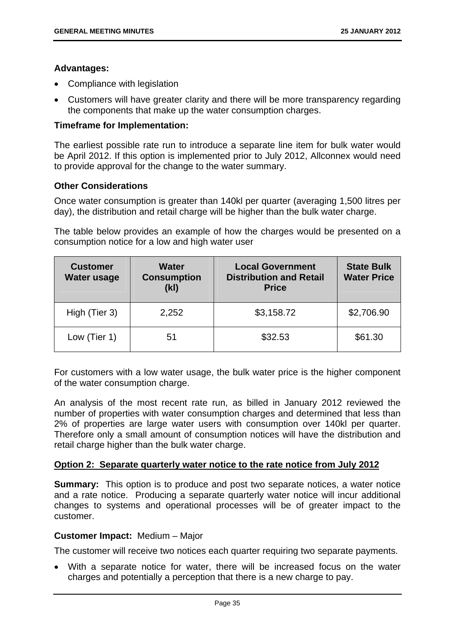# **Advantages:**

- Compliance with legislation
- Customers will have greater clarity and there will be more transparency regarding the components that make up the water consumption charges.

## **Timeframe for Implementation:**

The earliest possible rate run to introduce a separate line item for bulk water would be April 2012. If this option is implemented prior to July 2012, Allconnex would need to provide approval for the change to the water summary.

# **Other Considerations**

Once water consumption is greater than 140kl per quarter (averaging 1,500 litres per day), the distribution and retail charge will be higher than the bulk water charge.

The table below provides an example of how the charges would be presented on a consumption notice for a low and high water user

| <b>Customer</b><br>Water usage | <b>Water</b><br><b>Consumption</b><br>(k) | <b>Local Government</b><br><b>Distribution and Retail</b><br><b>Price</b> | <b>State Bulk</b><br><b>Water Price</b> |
|--------------------------------|-------------------------------------------|---------------------------------------------------------------------------|-----------------------------------------|
| High (Tier 3)                  | 2,252                                     | \$3,158.72                                                                | \$2,706.90                              |
| Low (Tier 1)                   | 51                                        | \$32.53                                                                   | \$61.30                                 |

For customers with a low water usage, the bulk water price is the higher component of the water consumption charge.

An analysis of the most recent rate run, as billed in January 2012 reviewed the number of properties with water consumption charges and determined that less than 2% of properties are large water users with consumption over 140kl per quarter. Therefore only a small amount of consumption notices will have the distribution and retail charge higher than the bulk water charge.

## **Option 2: Separate quarterly water notice to the rate notice from July 2012**

**Summary:** This option is to produce and post two separate notices, a water notice and a rate notice. Producing a separate quarterly water notice will incur additional changes to systems and operational processes will be of greater impact to the customer.

## **Customer Impact:** Medium – Major

The customer will receive two notices each quarter requiring two separate payments.

 With a separate notice for water, there will be increased focus on the water charges and potentially a perception that there is a new charge to pay.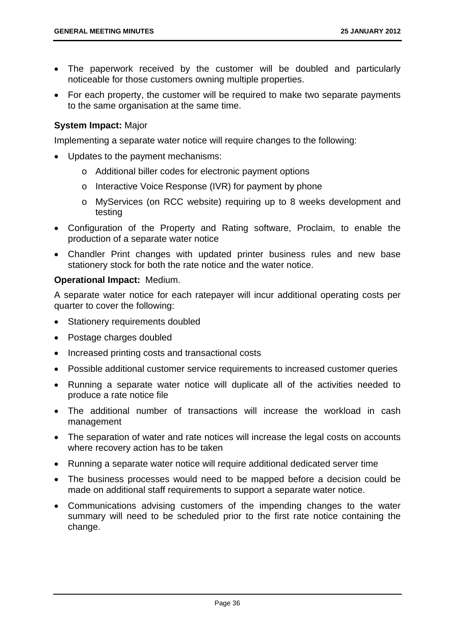- The paperwork received by the customer will be doubled and particularly noticeable for those customers owning multiple properties.
- For each property, the customer will be required to make two separate payments to the same organisation at the same time.

# **System Impact:** Major

Implementing a separate water notice will require changes to the following:

- Updates to the payment mechanisms:
	- o Additional biller codes for electronic payment options
	- o Interactive Voice Response (IVR) for payment by phone
	- o MyServices (on RCC website) requiring up to 8 weeks development and testing
- Configuration of the Property and Rating software, Proclaim, to enable the production of a separate water notice
- Chandler Print changes with updated printer business rules and new base stationery stock for both the rate notice and the water notice.

# **Operational Impact:** Medium.

A separate water notice for each ratepayer will incur additional operating costs per quarter to cover the following:

- Stationery requirements doubled
- Postage charges doubled
- Increased printing costs and transactional costs
- Possible additional customer service requirements to increased customer queries
- Running a separate water notice will duplicate all of the activities needed to produce a rate notice file
- The additional number of transactions will increase the workload in cash management
- The separation of water and rate notices will increase the legal costs on accounts where recovery action has to be taken
- Running a separate water notice will require additional dedicated server time
- The business processes would need to be mapped before a decision could be made on additional staff requirements to support a separate water notice.
- Communications advising customers of the impending changes to the water summary will need to be scheduled prior to the first rate notice containing the change.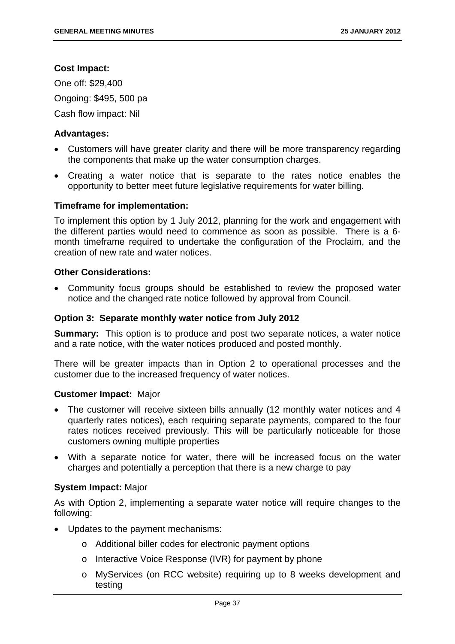# **Cost Impact:**

One off: \$29,400 Ongoing: \$495, 500 pa Cash flow impact: Nil

# **Advantages:**

- Customers will have greater clarity and there will be more transparency regarding the components that make up the water consumption charges.
- Creating a water notice that is separate to the rates notice enables the opportunity to better meet future legislative requirements for water billing.

# **Timeframe for implementation:**

To implement this option by 1 July 2012, planning for the work and engagement with the different parties would need to commence as soon as possible. There is a 6 month timeframe required to undertake the configuration of the Proclaim, and the creation of new rate and water notices.

# **Other Considerations:**

 Community focus groups should be established to review the proposed water notice and the changed rate notice followed by approval from Council.

## **Option 3: Separate monthly water notice from July 2012**

**Summary:** This option is to produce and post two separate notices, a water notice and a rate notice, with the water notices produced and posted monthly.

There will be greater impacts than in Option 2 to operational processes and the customer due to the increased frequency of water notices.

## **Customer Impact:** Major

- The customer will receive sixteen bills annually (12 monthly water notices and 4 quarterly rates notices), each requiring separate payments, compared to the four rates notices received previously. This will be particularly noticeable for those customers owning multiple properties
- With a separate notice for water, there will be increased focus on the water charges and potentially a perception that there is a new charge to pay

## **System Impact:** Major

As with Option 2, implementing a separate water notice will require changes to the following:

- Updates to the payment mechanisms:
	- o Additional biller codes for electronic payment options
	- o Interactive Voice Response (IVR) for payment by phone
	- o MyServices (on RCC website) requiring up to 8 weeks development and testing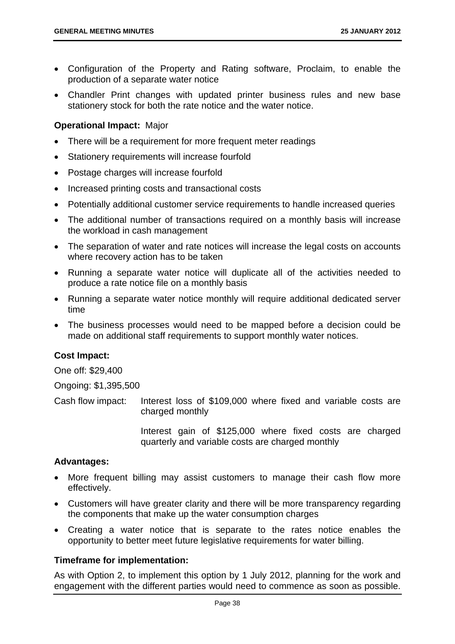- Configuration of the Property and Rating software, Proclaim, to enable the production of a separate water notice
- Chandler Print changes with updated printer business rules and new base stationery stock for both the rate notice and the water notice.

# **Operational Impact:** Major

- There will be a requirement for more frequent meter readings
- Stationery requirements will increase fourfold
- Postage charges will increase fourfold
- Increased printing costs and transactional costs
- Potentially additional customer service requirements to handle increased queries
- The additional number of transactions required on a monthly basis will increase the workload in cash management
- The separation of water and rate notices will increase the legal costs on accounts where recovery action has to be taken
- Running a separate water notice will duplicate all of the activities needed to produce a rate notice file on a monthly basis
- Running a separate water notice monthly will require additional dedicated server time
- The business processes would need to be mapped before a decision could be made on additional staff requirements to support monthly water notices.

# **Cost Impact:**

One off: \$29,400

Ongoing: \$1,395,500

Cash flow impact: Interest loss of \$109,000 where fixed and variable costs are charged monthly

> Interest gain of \$125,000 where fixed costs are charged quarterly and variable costs are charged monthly

## **Advantages:**

- More frequent billing may assist customers to manage their cash flow more effectively.
- Customers will have greater clarity and there will be more transparency regarding the components that make up the water consumption charges
- Creating a water notice that is separate to the rates notice enables the opportunity to better meet future legislative requirements for water billing.

## **Timeframe for implementation:**

As with Option 2, to implement this option by 1 July 2012, planning for the work and engagement with the different parties would need to commence as soon as possible.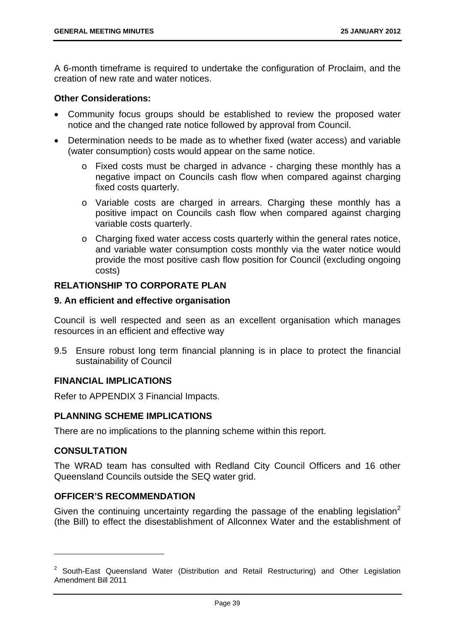A 6-month timeframe is required to undertake the configuration of Proclaim, and the creation of new rate and water notices.

# **Other Considerations:**

- Community focus groups should be established to review the proposed water notice and the changed rate notice followed by approval from Council.
- Determination needs to be made as to whether fixed (water access) and variable (water consumption) costs would appear on the same notice.
	- o Fixed costs must be charged in advance charging these monthly has a negative impact on Councils cash flow when compared against charging fixed costs quarterly.
	- o Variable costs are charged in arrears. Charging these monthly has a positive impact on Councils cash flow when compared against charging variable costs quarterly.
	- o Charging fixed water access costs quarterly within the general rates notice, and variable water consumption costs monthly via the water notice would provide the most positive cash flow position for Council (excluding ongoing costs)

# **RELATIONSHIP TO CORPORATE PLAN**

## **9. An efficient and effective organisation**

Council is well respected and seen as an excellent organisation which manages resources in an efficient and effective way

9.5 Ensure robust long term financial planning is in place to protect the financial sustainability of Council

# **FINANCIAL IMPLICATIONS**

Refer to APPENDIX 3 Financial Impacts.

# **PLANNING SCHEME IMPLICATIONS**

There are no implications to the planning scheme within this report.

# **CONSULTATION**

-

The WRAD team has consulted with Redland City Council Officers and 16 other Queensland Councils outside the SEQ water grid.

# **OFFICER'S RECOMMENDATION**

Given the continuing uncertainty regarding the passage of the enabling legislation<sup>2</sup> (the Bill) to effect the disestablishment of Allconnex Water and the establishment of

<sup>&</sup>lt;sup>2</sup> South-East Queensland Water (Distribution and Retail Restructuring) and Other Legislation Amendment Bill 2011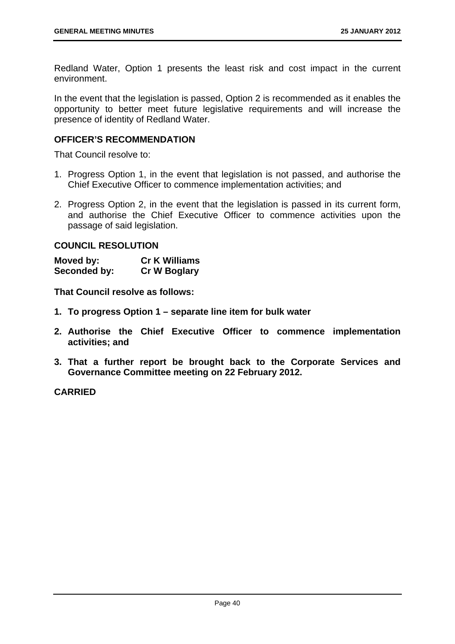Redland Water, Option 1 presents the least risk and cost impact in the current environment.

In the event that the legislation is passed, Option 2 is recommended as it enables the opportunity to better meet future legislative requirements and will increase the presence of identity of Redland Water.

# **OFFICER'S RECOMMENDATION**

That Council resolve to:

- 1. Progress Option 1, in the event that legislation is not passed, and authorise the Chief Executive Officer to commence implementation activities; and
- 2. Progress Option 2, in the event that the legislation is passed in its current form, and authorise the Chief Executive Officer to commence activities upon the passage of said legislation.

**COUNCIL RESOLUTION** 

**Moved by: Cr K Williams Seconded by: Cr W Boglary** 

**That Council resolve as follows:** 

- **1. To progress Option 1 separate line item for bulk water**
- **2. Authorise the Chief Executive Officer to commence implementation activities; and**
- **3. That a further report be brought back to the Corporate Services and Governance Committee meeting on 22 February 2012.**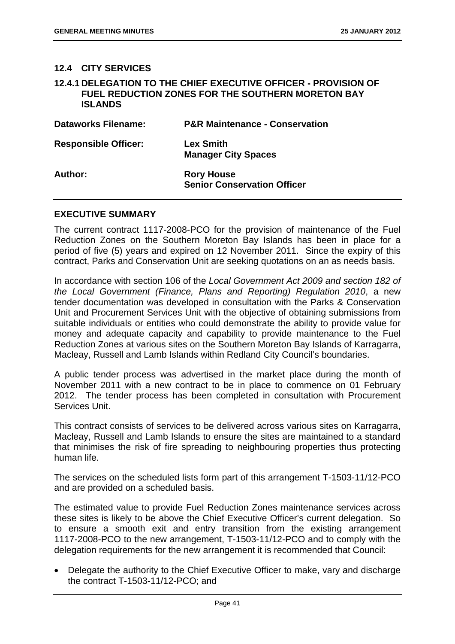# **12.4 CITY SERVICES**

## **12.4.1 DELEGATION TO THE CHIEF EXECUTIVE OFFICER - PROVISION OF FUEL REDUCTION ZONES FOR THE SOUTHERN MORETON BAY ISLANDS**

| <b>Dataworks Filename:</b>  | <b>P&amp;R Maintenance - Conservation</b>               |
|-----------------------------|---------------------------------------------------------|
| <b>Responsible Officer:</b> | <b>Lex Smith</b><br><b>Manager City Spaces</b>          |
| Author:                     | <b>Rory House</b><br><b>Senior Conservation Officer</b> |

# **EXECUTIVE SUMMARY**

The current contract 1117-2008-PCO for the provision of maintenance of the Fuel Reduction Zones on the Southern Moreton Bay Islands has been in place for a period of five (5) years and expired on 12 November 2011. Since the expiry of this contract, Parks and Conservation Unit are seeking quotations on an as needs basis.

In accordance with section 106 of the *Local Government Act 2009 and section 182 of the Local Government (Finance, Plans and Reporting) Regulation 2010*, a new tender documentation was developed in consultation with the Parks & Conservation Unit and Procurement Services Unit with the objective of obtaining submissions from suitable individuals or entities who could demonstrate the ability to provide value for money and adequate capacity and capability to provide maintenance to the Fuel Reduction Zones at various sites on the Southern Moreton Bay Islands of Karragarra, Macleay, Russell and Lamb Islands within Redland City Council's boundaries.

A public tender process was advertised in the market place during the month of November 2011 with a new contract to be in place to commence on 01 February 2012. The tender process has been completed in consultation with Procurement Services Unit.

This contract consists of services to be delivered across various sites on Karragarra, Macleay, Russell and Lamb Islands to ensure the sites are maintained to a standard that minimises the risk of fire spreading to neighbouring properties thus protecting human life.

The services on the scheduled lists form part of this arrangement T-1503-11/12-PCO and are provided on a scheduled basis.

The estimated value to provide Fuel Reduction Zones maintenance services across these sites is likely to be above the Chief Executive Officer's current delegation. So to ensure a smooth exit and entry transition from the existing arrangement 1117-2008-PCO to the new arrangement, T-1503-11/12-PCO and to comply with the delegation requirements for the new arrangement it is recommended that Council:

• Delegate the authority to the Chief Executive Officer to make, vary and discharge the contract T-1503-11/12-PCO; and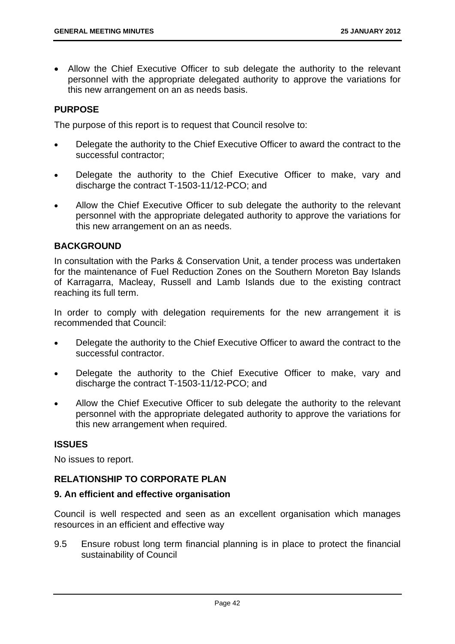Allow the Chief Executive Officer to sub delegate the authority to the relevant personnel with the appropriate delegated authority to approve the variations for this new arrangement on an as needs basis.

# **PURPOSE**

The purpose of this report is to request that Council resolve to:

- Delegate the authority to the Chief Executive Officer to award the contract to the successful contractor;
- Delegate the authority to the Chief Executive Officer to make, vary and discharge the contract T-1503-11/12-PCO; and
- Allow the Chief Executive Officer to sub delegate the authority to the relevant personnel with the appropriate delegated authority to approve the variations for this new arrangement on an as needs.

# **BACKGROUND**

In consultation with the Parks & Conservation Unit, a tender process was undertaken for the maintenance of Fuel Reduction Zones on the Southern Moreton Bay Islands of Karragarra, Macleay, Russell and Lamb Islands due to the existing contract reaching its full term.

In order to comply with delegation requirements for the new arrangement it is recommended that Council:

- Delegate the authority to the Chief Executive Officer to award the contract to the successful contractor.
- Delegate the authority to the Chief Executive Officer to make, vary and discharge the contract T-1503-11/12-PCO; and
- Allow the Chief Executive Officer to sub delegate the authority to the relevant personnel with the appropriate delegated authority to approve the variations for this new arrangement when required.

# **ISSUES**

No issues to report.

# **RELATIONSHIP TO CORPORATE PLAN**

## **9. An efficient and effective organisation**

Council is well respected and seen as an excellent organisation which manages resources in an efficient and effective way

9.5 Ensure robust long term financial planning is in place to protect the financial sustainability of Council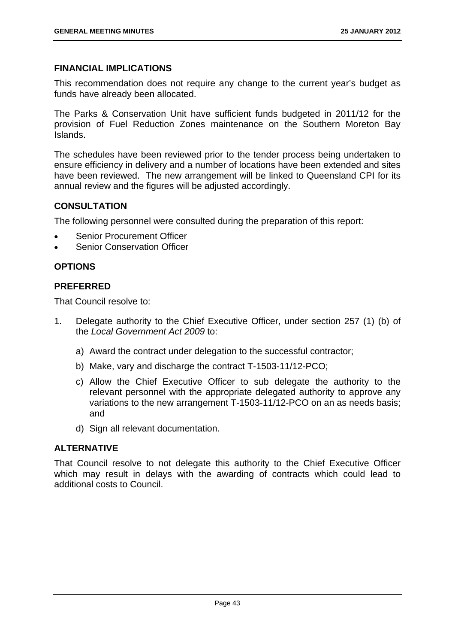# **FINANCIAL IMPLICATIONS**

This recommendation does not require any change to the current year's budget as funds have already been allocated.

The Parks & Conservation Unit have sufficient funds budgeted in 2011/12 for the provision of Fuel Reduction Zones maintenance on the Southern Moreton Bay Islands.

The schedules have been reviewed prior to the tender process being undertaken to ensure efficiency in delivery and a number of locations have been extended and sites have been reviewed. The new arrangement will be linked to Queensland CPI for its annual review and the figures will be adjusted accordingly.

# **CONSULTATION**

The following personnel were consulted during the preparation of this report:

- Senior Procurement Officer
- Senior Conservation Officer

# **OPTIONS**

# **PREFERRED**

That Council resolve to:

- 1. Delegate authority to the Chief Executive Officer, under section 257 (1) (b) of the *Local Government Act 2009* to:
	- a) Award the contract under delegation to the successful contractor;
	- b) Make, vary and discharge the contract T-1503-11/12-PCO;
	- c) Allow the Chief Executive Officer to sub delegate the authority to the relevant personnel with the appropriate delegated authority to approve any variations to the new arrangement T-1503-11/12-PCO on an as needs basis; and
	- d) Sign all relevant documentation.

# **ALTERNATIVE**

That Council resolve to not delegate this authority to the Chief Executive Officer which may result in delays with the awarding of contracts which could lead to additional costs to Council.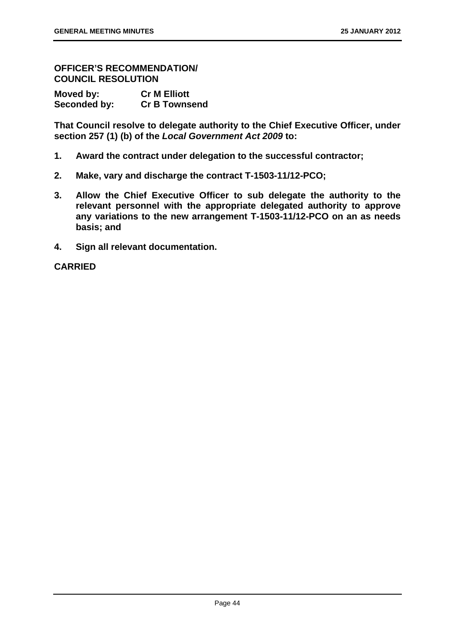**OFFICER'S RECOMMENDATION/ COUNCIL RESOLUTION** 

| Moved by:    | <b>Cr M Elliott</b>  |
|--------------|----------------------|
| Seconded by: | <b>Cr B Townsend</b> |

**That Council resolve to delegate authority to the Chief Executive Officer, under section 257 (1) (b) of the** *Local Government Act 2009* **to:** 

- **1. Award the contract under delegation to the successful contractor;**
- **2. Make, vary and discharge the contract T-1503-11/12-PCO;**
- **3. Allow the Chief Executive Officer to sub delegate the authority to the relevant personnel with the appropriate delegated authority to approve any variations to the new arrangement T-1503-11/12-PCO on an as needs basis; and**
- **4. Sign all relevant documentation.**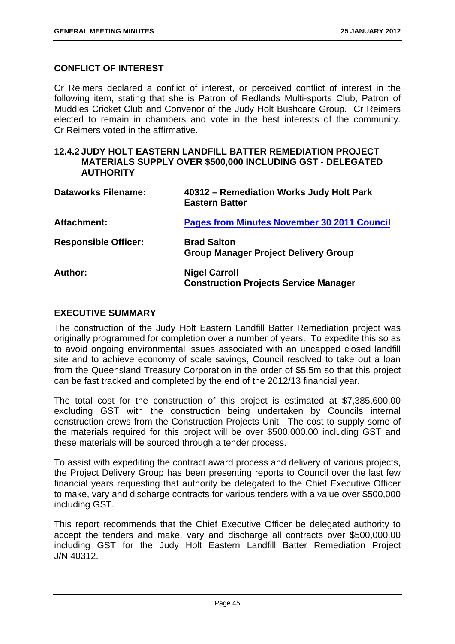# **CONFLICT OF INTEREST**

Cr Reimers declared a conflict of interest, or perceived conflict of interest in the following item, stating that she is Patron of Redlands Multi-sports Club, Patron of Muddies Cricket Club and Convenor of the Judy Holt Bushcare Group. Cr Reimers elected to remain in chambers and vote in the best interests of the community. Cr Reimers voted in the affirmative.

#### **12.4.2 JUDY HOLT EASTERN LANDFILL BATTER REMEDIATION PROJECT MATERIALS SUPPLY OVER \$500,000 INCLUDING GST - DELEGATED AUTHORITY**

| <b>Dataworks Filename:</b>  | 40312 – Remediation Works Judy Holt Park<br><b>Eastern Batter</b>    |
|-----------------------------|----------------------------------------------------------------------|
| <b>Attachment:</b>          | <b>Pages from Minutes November 30 2011 Council</b>                   |
| <b>Responsible Officer:</b> | <b>Brad Salton</b><br><b>Group Manager Project Delivery Group</b>    |
| Author:                     | <b>Nigel Carroll</b><br><b>Construction Projects Service Manager</b> |

## **EXECUTIVE SUMMARY**

The construction of the Judy Holt Eastern Landfill Batter Remediation project was originally programmed for completion over a number of years. To expedite this so as to avoid ongoing environmental issues associated with an uncapped closed landfill site and to achieve economy of scale savings, Council resolved to take out a loan from the Queensland Treasury Corporation in the order of \$5.5m so that this project can be fast tracked and completed by the end of the 2012/13 financial year.

The total cost for the construction of this project is estimated at \$7,385,600.00 excluding GST with the construction being undertaken by Councils internal construction crews from the Construction Projects Unit. The cost to supply some of the materials required for this project will be over \$500,000.00 including GST and these materials will be sourced through a tender process.

To assist with expediting the contract award process and delivery of various projects, the Project Delivery Group has been presenting reports to Council over the last few financial years requesting that authority be delegated to the Chief Executive Officer to make, vary and discharge contracts for various tenders with a value over \$500,000 including GST.

This report recommends that the Chief Executive Officer be delegated authority to accept the tenders and make, vary and discharge all contracts over \$500,000.00 including GST for the Judy Holt Eastern Landfill Batter Remediation Project J/N 40312.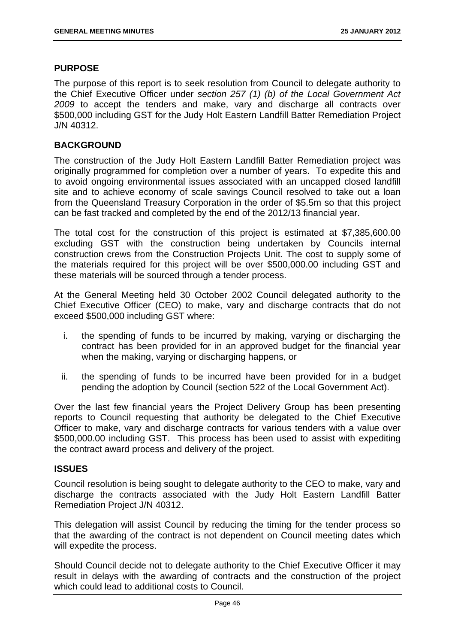## **PURPOSE**

The purpose of this report is to seek resolution from Council to delegate authority to the Chief Executive Officer under *section 257 (1) (b) of the Local Government Act 2009* to accept the tenders and make, vary and discharge all contracts over \$500,000 including GST for the Judy Holt Eastern Landfill Batter Remediation Project J/N 40312.

## **BACKGROUND**

The construction of the Judy Holt Eastern Landfill Batter Remediation project was originally programmed for completion over a number of years. To expedite this and to avoid ongoing environmental issues associated with an uncapped closed landfill site and to achieve economy of scale savings Council resolved to take out a loan from the Queensland Treasury Corporation in the order of \$5.5m so that this project can be fast tracked and completed by the end of the 2012/13 financial year.

The total cost for the construction of this project is estimated at \$7,385,600.00 excluding GST with the construction being undertaken by Councils internal construction crews from the Construction Projects Unit. The cost to supply some of the materials required for this project will be over \$500,000.00 including GST and these materials will be sourced through a tender process.

At the General Meeting held 30 October 2002 Council delegated authority to the Chief Executive Officer (CEO) to make, vary and discharge contracts that do not exceed \$500,000 including GST where:

- i. the spending of funds to be incurred by making, varying or discharging the contract has been provided for in an approved budget for the financial year when the making, varying or discharging happens, or
- ii. the spending of funds to be incurred have been provided for in a budget pending the adoption by Council (section 522 of the Local Government Act).

Over the last few financial years the Project Delivery Group has been presenting reports to Council requesting that authority be delegated to the Chief Executive Officer to make, vary and discharge contracts for various tenders with a value over \$500,000.00 including GST. This process has been used to assist with expediting the contract award process and delivery of the project.

## **ISSUES**

Council resolution is being sought to delegate authority to the CEO to make, vary and discharge the contracts associated with the Judy Holt Eastern Landfill Batter Remediation Project J/N 40312.

This delegation will assist Council by reducing the timing for the tender process so that the awarding of the contract is not dependent on Council meeting dates which will expedite the process.

Should Council decide not to delegate authority to the Chief Executive Officer it may result in delays with the awarding of contracts and the construction of the project which could lead to additional costs to Council.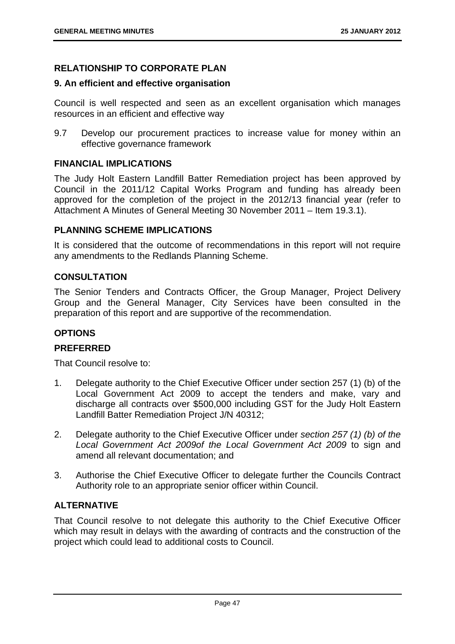# **RELATIONSHIP TO CORPORATE PLAN**

# **9. An efficient and effective organisation**

Council is well respected and seen as an excellent organisation which manages resources in an efficient and effective way

9.7 Develop our procurement practices to increase value for money within an effective governance framework

# **FINANCIAL IMPLICATIONS**

The Judy Holt Eastern Landfill Batter Remediation project has been approved by Council in the 2011/12 Capital Works Program and funding has already been approved for the completion of the project in the 2012/13 financial year (refer to Attachment A Minutes of General Meeting 30 November 2011 – Item 19.3.1).

# **PLANNING SCHEME IMPLICATIONS**

It is considered that the outcome of recommendations in this report will not require any amendments to the Redlands Planning Scheme.

# **CONSULTATION**

The Senior Tenders and Contracts Officer, the Group Manager, Project Delivery Group and the General Manager, City Services have been consulted in the preparation of this report and are supportive of the recommendation.

# **OPTIONS**

## **PREFERRED**

That Council resolve to:

- 1. Delegate authority to the Chief Executive Officer under section 257 (1) (b) of the Local Government Act 2009 to accept the tenders and make, vary and discharge all contracts over \$500,000 including GST for the Judy Holt Eastern Landfill Batter Remediation Project J/N 40312;
- 2. Delegate authority to the Chief Executive Officer under *section 257 (1) (b) of the Local Government Act 2009of the Local Government Act 2009* to sign and amend all relevant documentation; and
- 3. Authorise the Chief Executive Officer to delegate further the Councils Contract Authority role to an appropriate senior officer within Council.

# **ALTERNATIVE**

That Council resolve to not delegate this authority to the Chief Executive Officer which may result in delays with the awarding of contracts and the construction of the project which could lead to additional costs to Council.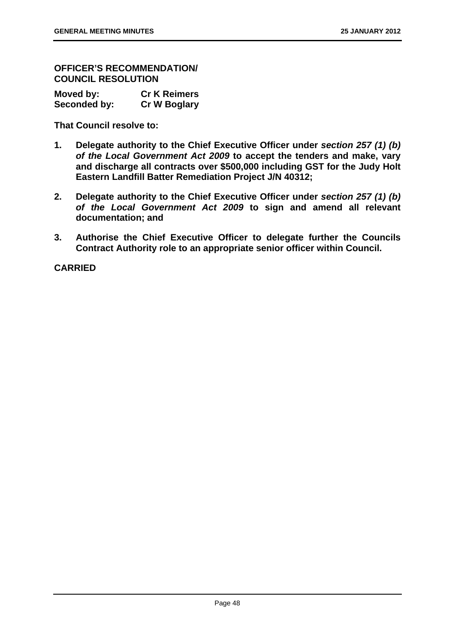**OFFICER'S RECOMMENDATION/ COUNCIL RESOLUTION** 

| Moved by:    | <b>Cr K Reimers</b> |
|--------------|---------------------|
| Seconded by: | <b>Cr W Boglary</b> |

**That Council resolve to:** 

- **1. Delegate authority to the Chief Executive Officer under** *section 257 (1) (b) of the Local Government Act 2009* **to accept the tenders and make, vary and discharge all contracts over \$500,000 including GST for the Judy Holt Eastern Landfill Batter Remediation Project J/N 40312;**
- **2. Delegate authority to the Chief Executive Officer under** *section 257 (1) (b) of the Local Government Act 2009* **to sign and amend all relevant documentation; and**
- **3. Authorise the Chief Executive Officer to delegate further the Councils Contract Authority role to an appropriate senior officer within Council.**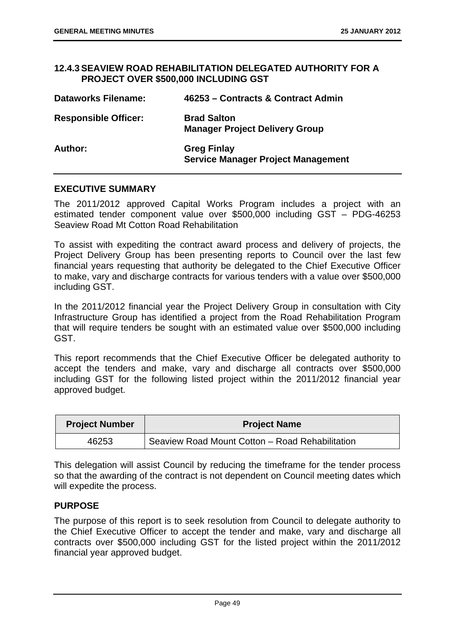## **12.4.3 SEAVIEW ROAD REHABILITATION DELEGATED AUTHORITY FOR A PROJECT OVER \$500,000 INCLUDING GST**

| <b>Dataworks Filename:</b>  | 46253 – Contracts & Contract Admin                              |
|-----------------------------|-----------------------------------------------------------------|
| <b>Responsible Officer:</b> | <b>Brad Salton</b><br><b>Manager Project Delivery Group</b>     |
| Author:                     | <b>Greg Finlay</b><br><b>Service Manager Project Management</b> |

## **EXECUTIVE SUMMARY**

The 2011/2012 approved Capital Works Program includes a project with an estimated tender component value over \$500,000 including GST – PDG-46253 Seaview Road Mt Cotton Road Rehabilitation

To assist with expediting the contract award process and delivery of projects, the Project Delivery Group has been presenting reports to Council over the last few financial years requesting that authority be delegated to the Chief Executive Officer to make, vary and discharge contracts for various tenders with a value over \$500,000 including GST.

In the 2011/2012 financial year the Project Delivery Group in consultation with City Infrastructure Group has identified a project from the Road Rehabilitation Program that will require tenders be sought with an estimated value over \$500,000 including GST.

This report recommends that the Chief Executive Officer be delegated authority to accept the tenders and make, vary and discharge all contracts over \$500,000 including GST for the following listed project within the 2011/2012 financial year approved budget.

| <b>Project Number</b> | <b>Project Name</b>                             |
|-----------------------|-------------------------------------------------|
| 46253                 | Seaview Road Mount Cotton - Road Rehabilitation |

This delegation will assist Council by reducing the timeframe for the tender process so that the awarding of the contract is not dependent on Council meeting dates which will expedite the process.

## **PURPOSE**

The purpose of this report is to seek resolution from Council to delegate authority to the Chief Executive Officer to accept the tender and make, vary and discharge all contracts over \$500,000 including GST for the listed project within the 2011/2012 financial year approved budget.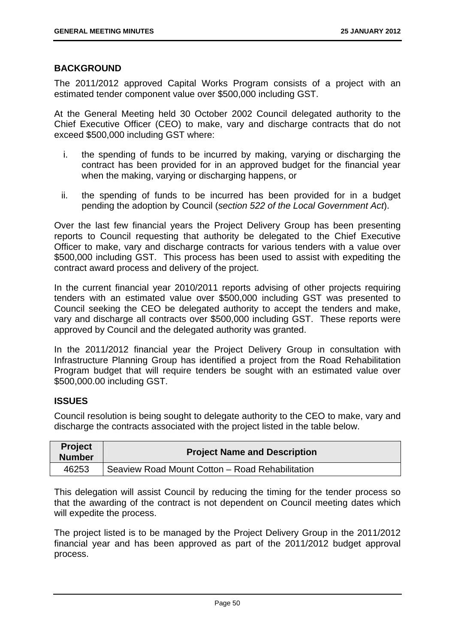# **BACKGROUND**

The 2011/2012 approved Capital Works Program consists of a project with an estimated tender component value over \$500,000 including GST.

At the General Meeting held 30 October 2002 Council delegated authority to the Chief Executive Officer (CEO) to make, vary and discharge contracts that do not exceed \$500,000 including GST where:

- i. the spending of funds to be incurred by making, varying or discharging the contract has been provided for in an approved budget for the financial year when the making, varying or discharging happens, or
- ii. the spending of funds to be incurred has been provided for in a budget pending the adoption by Council (*section 522 of the Local Government Act*).

Over the last few financial years the Project Delivery Group has been presenting reports to Council requesting that authority be delegated to the Chief Executive Officer to make, vary and discharge contracts for various tenders with a value over \$500,000 including GST. This process has been used to assist with expediting the contract award process and delivery of the project.

In the current financial year 2010/2011 reports advising of other projects requiring tenders with an estimated value over \$500,000 including GST was presented to Council seeking the CEO be delegated authority to accept the tenders and make, vary and discharge all contracts over \$500,000 including GST. These reports were approved by Council and the delegated authority was granted.

In the 2011/2012 financial year the Project Delivery Group in consultation with Infrastructure Planning Group has identified a project from the Road Rehabilitation Program budget that will require tenders be sought with an estimated value over \$500,000.00 including GST.

# **ISSUES**

Council resolution is being sought to delegate authority to the CEO to make, vary and discharge the contracts associated with the project listed in the table below.

| <b>Project</b><br><b>Number</b> | <b>Project Name and Description</b>             |
|---------------------------------|-------------------------------------------------|
| 46253                           | Seaview Road Mount Cotton - Road Rehabilitation |

This delegation will assist Council by reducing the timing for the tender process so that the awarding of the contract is not dependent on Council meeting dates which will expedite the process.

The project listed is to be managed by the Project Delivery Group in the 2011/2012 financial year and has been approved as part of the 2011/2012 budget approval process.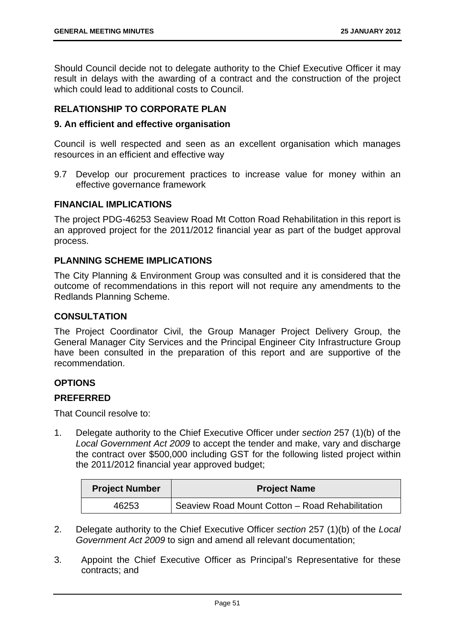Should Council decide not to delegate authority to the Chief Executive Officer it may result in delays with the awarding of a contract and the construction of the project which could lead to additional costs to Council.

# **RELATIONSHIP TO CORPORATE PLAN**

# **9. An efficient and effective organisation**

Council is well respected and seen as an excellent organisation which manages resources in an efficient and effective way

9.7 Develop our procurement practices to increase value for money within an effective governance framework

# **FINANCIAL IMPLICATIONS**

The project PDG-46253 Seaview Road Mt Cotton Road Rehabilitation in this report is an approved project for the 2011/2012 financial year as part of the budget approval process.

# **PLANNING SCHEME IMPLICATIONS**

The City Planning & Environment Group was consulted and it is considered that the outcome of recommendations in this report will not require any amendments to the Redlands Planning Scheme.

# **CONSULTATION**

The Project Coordinator Civil, the Group Manager Project Delivery Group, the General Manager City Services and the Principal Engineer City Infrastructure Group have been consulted in the preparation of this report and are supportive of the recommendation.

# **OPTIONS**

# **PREFERRED**

That Council resolve to:

1. Delegate authority to the Chief Executive Officer under *section* 257 (1)(b) of the *Local Government Act 2009* to accept the tender and make, vary and discharge the contract over \$500,000 including GST for the following listed project within the 2011/2012 financial year approved budget;

| <b>Project Number</b> | <b>Project Name</b>                               |
|-----------------------|---------------------------------------------------|
| 46253                 | I Seaview Road Mount Cotton - Road Rehabilitation |

- 2. Delegate authority to the Chief Executive Officer *section* 257 (1)(b) of the *Local Government Act 2009* to sign and amend all relevant documentation;
- 3. Appoint the Chief Executive Officer as Principal's Representative for these contracts; and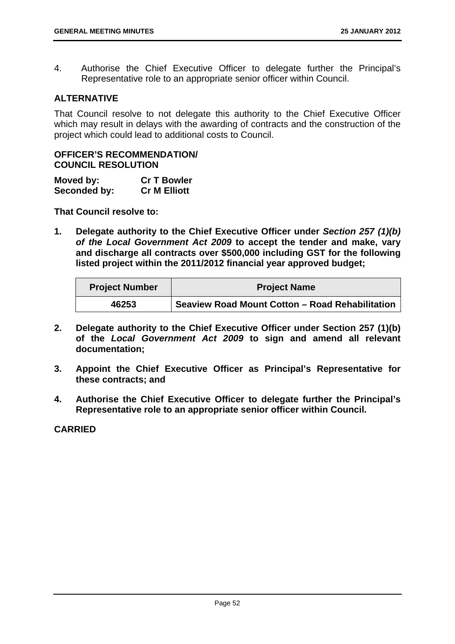4. Authorise the Chief Executive Officer to delegate further the Principal's Representative role to an appropriate senior officer within Council.

# **ALTERNATIVE**

That Council resolve to not delegate this authority to the Chief Executive Officer which may result in delays with the awarding of contracts and the construction of the project which could lead to additional costs to Council.

## **OFFICER'S RECOMMENDATION/ COUNCIL RESOLUTION**

| Moved by:    | <b>Cr T Bowler</b>  |
|--------------|---------------------|
| Seconded by: | <b>Cr M Elliott</b> |

**That Council resolve to:** 

**1. Delegate authority to the Chief Executive Officer under** *Section 257 (1)(b) of the Local Government Act 2009* **to accept the tender and make, vary and discharge all contracts over \$500,000 including GST for the following listed project within the 2011/2012 financial year approved budget;** 

| <b>Project Number</b> | <b>Project Name</b>                             |
|-----------------------|-------------------------------------------------|
| 46253                 | Seaview Road Mount Cotton - Road Rehabilitation |

- **2. Delegate authority to the Chief Executive Officer under Section 257 (1)(b) of the** *Local Government Act 2009* **to sign and amend all relevant documentation;**
- **3. Appoint the Chief Executive Officer as Principal's Representative for these contracts; and**
- **4. Authorise the Chief Executive Officer to delegate further the Principal's Representative role to an appropriate senior officer within Council.**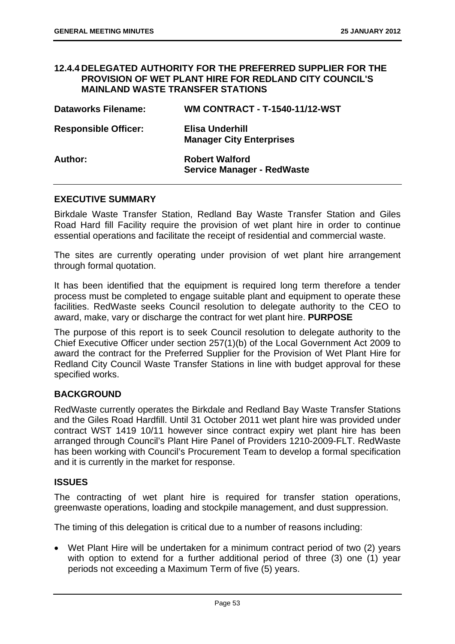## **12.4.4 DELEGATED AUTHORITY FOR THE PREFERRED SUPPLIER FOR THE PROVISION OF WET PLANT HIRE FOR REDLAND CITY COUNCIL'S MAINLAND WASTE TRANSFER STATIONS**

| <b>Dataworks Filename:</b>  | <b>WM CONTRACT - T-1540-11/12-WST</b>                      |
|-----------------------------|------------------------------------------------------------|
| <b>Responsible Officer:</b> | Elisa Underhill<br><b>Manager City Enterprises</b>         |
| Author:                     | <b>Robert Walford</b><br><b>Service Manager - RedWaste</b> |

## **EXECUTIVE SUMMARY**

Birkdale Waste Transfer Station, Redland Bay Waste Transfer Station and Giles Road Hard fill Facility require the provision of wet plant hire in order to continue essential operations and facilitate the receipt of residential and commercial waste.

The sites are currently operating under provision of wet plant hire arrangement through formal quotation.

It has been identified that the equipment is required long term therefore a tender process must be completed to engage suitable plant and equipment to operate these facilities. RedWaste seeks Council resolution to delegate authority to the CEO to award, make, vary or discharge the contract for wet plant hire. **PURPOSE** 

The purpose of this report is to seek Council resolution to delegate authority to the Chief Executive Officer under section 257(1)(b) of the Local Government Act 2009 to award the contract for the Preferred Supplier for the Provision of Wet Plant Hire for Redland City Council Waste Transfer Stations in line with budget approval for these specified works.

## **BACKGROUND**

RedWaste currently operates the Birkdale and Redland Bay Waste Transfer Stations and the Giles Road Hardfill. Until 31 October 2011 wet plant hire was provided under contract WST 1419 10/11 however since contract expiry wet plant hire has been arranged through Council's Plant Hire Panel of Providers 1210-2009-FLT. RedWaste has been working with Council's Procurement Team to develop a formal specification and it is currently in the market for response.

## **ISSUES**

The contracting of wet plant hire is required for transfer station operations, greenwaste operations, loading and stockpile management, and dust suppression.

The timing of this delegation is critical due to a number of reasons including:

 Wet Plant Hire will be undertaken for a minimum contract period of two (2) years with option to extend for a further additional period of three (3) one (1) year periods not exceeding a Maximum Term of five (5) years.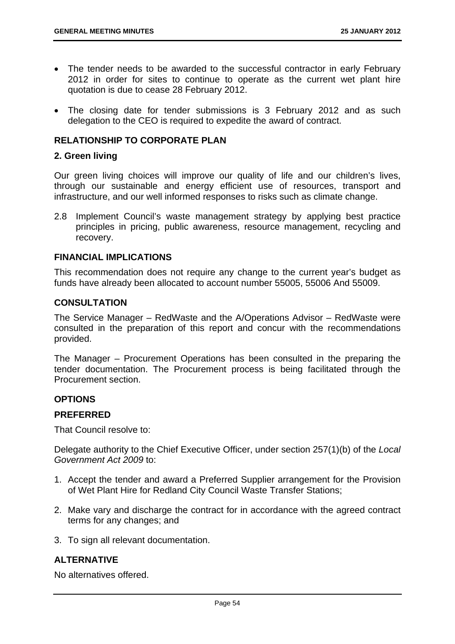- The tender needs to be awarded to the successful contractor in early February 2012 in order for sites to continue to operate as the current wet plant hire quotation is due to cease 28 February 2012.
- The closing date for tender submissions is 3 February 2012 and as such delegation to the CEO is required to expedite the award of contract.

# **RELATIONSHIP TO CORPORATE PLAN**

#### **2. Green living**

Our green living choices will improve our quality of life and our children's lives, through our sustainable and energy efficient use of resources, transport and infrastructure, and our well informed responses to risks such as climate change.

2.8 Implement Council's waste management strategy by applying best practice principles in pricing, public awareness, resource management, recycling and recovery.

### **FINANCIAL IMPLICATIONS**

This recommendation does not require any change to the current year's budget as funds have already been allocated to account number 55005, 55006 And 55009.

## **CONSULTATION**

The Service Manager – RedWaste and the A/Operations Advisor – RedWaste were consulted in the preparation of this report and concur with the recommendations provided.

The Manager – Procurement Operations has been consulted in the preparing the tender documentation. The Procurement process is being facilitated through the Procurement section.

## **OPTIONS**

# **PREFERRED**

That Council resolve to:

Delegate authority to the Chief Executive Officer, under section 257(1)(b) of the *Local Government Act 2009* to:

- 1. Accept the tender and award a Preferred Supplier arrangement for the Provision of Wet Plant Hire for Redland City Council Waste Transfer Stations;
- 2. Make vary and discharge the contract for in accordance with the agreed contract terms for any changes; and
- 3. To sign all relevant documentation.

# **ALTERNATIVE**

No alternatives offered.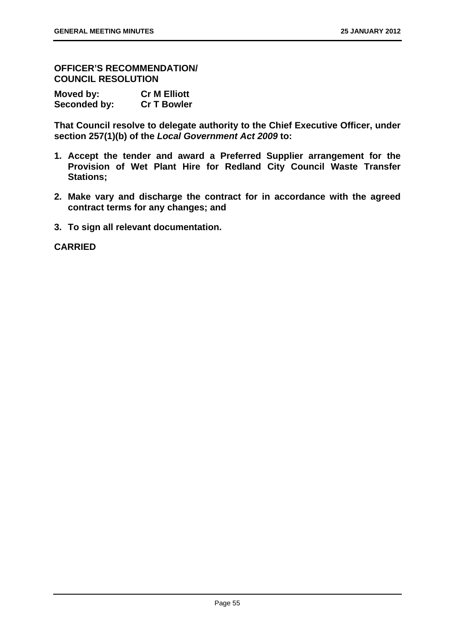**OFFICER'S RECOMMENDATION/ COUNCIL RESOLUTION** 

| Moved by:    | <b>Cr M Elliott</b> |
|--------------|---------------------|
| Seconded by: | <b>Cr T Bowler</b>  |

**That Council resolve to delegate authority to the Chief Executive Officer, under section 257(1)(b) of the** *Local Government Act 2009* **to:** 

- **1. Accept the tender and award a Preferred Supplier arrangement for the Provision of Wet Plant Hire for Redland City Council Waste Transfer Stations;**
- **2. Make vary and discharge the contract for in accordance with the agreed contract terms for any changes; and**
- **3. To sign all relevant documentation.**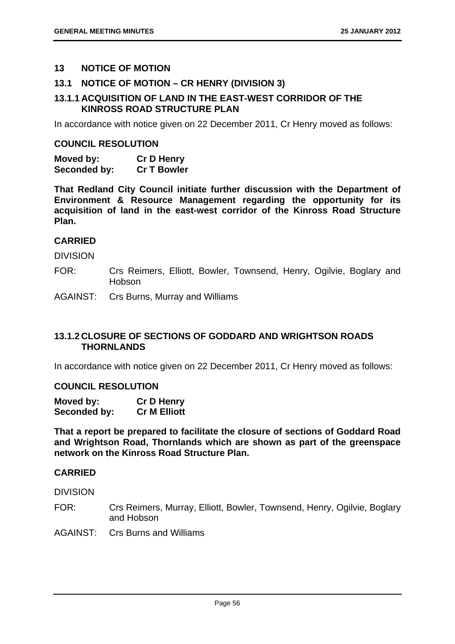# **13 NOTICE OF MOTION**

# **13.1 NOTICE OF MOTION – CR HENRY (DIVISION 3)**

# **13.1.1 ACQUISITION OF LAND IN THE EAST-WEST CORRIDOR OF THE KINROSS ROAD STRUCTURE PLAN**

In accordance with notice given on 22 December 2011, Cr Henry moved as follows:

### **COUNCIL RESOLUTION**

**Moved by: Cr D Henry Seconded by: Cr T Bowler** 

**That Redland City Council initiate further discussion with the Department of Environment & Resource Management regarding the opportunity for its acquisition of land in the east-west corridor of the Kinross Road Structure Plan.** 

# **CARRIED**

DIVISION

- FOR: Crs Reimers, Elliott, Bowler, Townsend, Henry, Ogilvie, Boglary and Hobson
- AGAINST: Crs Burns, Murray and Williams

# **13.1.2 CLOSURE OF SECTIONS OF GODDARD AND WRIGHTSON ROADS THORNLANDS**

In accordance with notice given on 22 December 2011, Cr Henry moved as follows:

# **COUNCIL RESOLUTION**

| Moved by:    | <b>Cr D Henry</b>   |
|--------------|---------------------|
| Seconded by: | <b>Cr M Elliott</b> |

**That a report be prepared to facilitate the closure of sections of Goddard Road and Wrightson Road, Thornlands which are shown as part of the greenspace network on the Kinross Road Structure Plan.** 

# **CARRIED**

**DIVISION** 

- FOR: Crs Reimers, Murray, Elliott, Bowler, Townsend, Henry, Ogilvie, Boglary and Hobson
- AGAINST: Crs Burns and Williams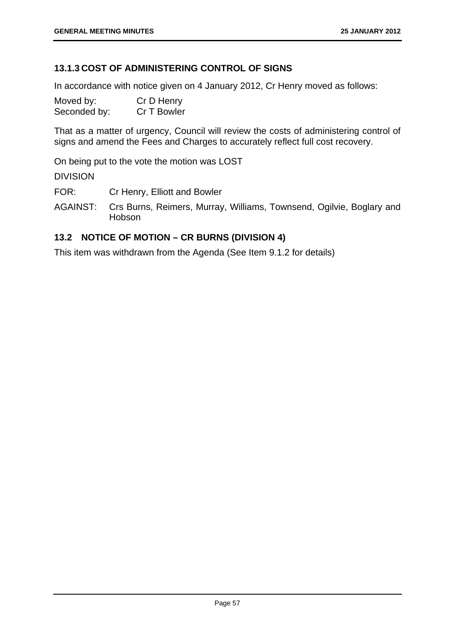# **13.1.3 COST OF ADMINISTERING CONTROL OF SIGNS**

In accordance with notice given on 4 January 2012, Cr Henry moved as follows:

| Moved by:    | Cr D Henry  |
|--------------|-------------|
| Seconded by: | Cr T Bowler |

That as a matter of urgency, Council will review the costs of administering control of signs and amend the Fees and Charges to accurately reflect full cost recovery.

On being put to the vote the motion was LOST

DIVISION

FOR: Cr Henry, Elliott and Bowler

AGAINST: Crs Burns, Reimers, Murray, Williams, Townsend, Ogilvie, Boglary and Hobson

# **13.2 NOTICE OF MOTION – CR BURNS (DIVISION 4)**

This item was withdrawn from the Agenda (See Item 9.1.2 for details)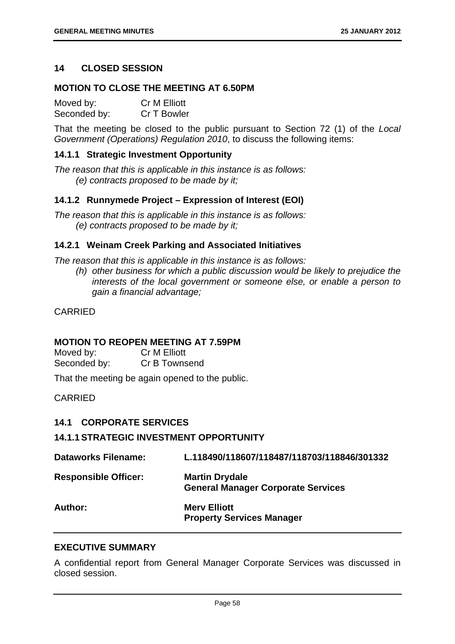# **14 CLOSED SESSION**

# **MOTION TO CLOSE THE MEETING AT 6.50PM**

| Moved by:    | <b>Cr M Elliott</b> |
|--------------|---------------------|
| Seconded by: | Cr T Bowler         |

That the meeting be closed to the public pursuant to Section 72 (1) of the *Local Government (Operations) Regulation 2010*, to discuss the following items:

# **14.1.1 Strategic Investment Opportunity**

*The reason that this is applicable in this instance is as follows: (e) contracts proposed to be made by it;* 

## **14.1.2 Runnymede Project – Expression of Interest (EOI)**

*The reason that this is applicable in this instance is as follows: (e) contracts proposed to be made by it;* 

## **14.2.1 Weinam Creek Parking and Associated Initiatives**

*The reason that this is applicable in this instance is as follows:* 

*(h) other business for which a public discussion would be likely to prejudice the interests of the local government or someone else, or enable a person to gain a financial advantage;* 

CARRIED

## **MOTION TO REOPEN MEETING AT 7.59PM**

| Moved by:    | <b>Cr M Elliott</b> |
|--------------|---------------------|
| Seconded by: | Cr B Townsend       |

That the meeting be again opened to the public.

CARRIED

## **14.1 CORPORATE SERVICES**

## **14.1.1 STRATEGIC INVESTMENT OPPORTUNITY**

| <b>Dataworks Filename:</b>  | L.118490/118607/118487/118703/118846/301332                        |
|-----------------------------|--------------------------------------------------------------------|
| <b>Responsible Officer:</b> | <b>Martin Drydale</b><br><b>General Manager Corporate Services</b> |
| Author:                     | <b>Mery Elliott</b><br><b>Property Services Manager</b>            |

## **EXECUTIVE SUMMARY**

A confidential report from General Manager Corporate Services was discussed in closed session.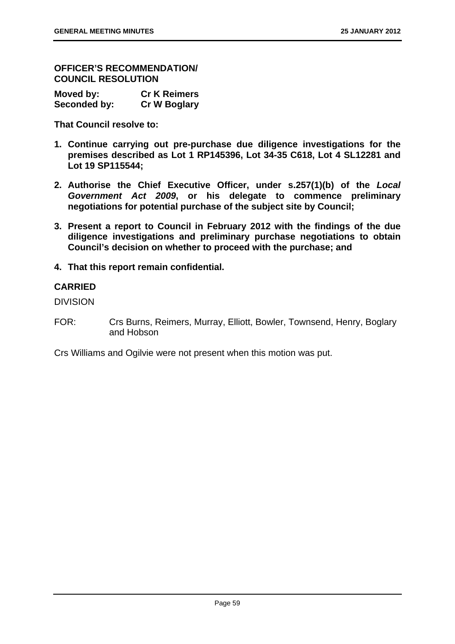**OFFICER'S RECOMMENDATION/ COUNCIL RESOLUTION** 

| Moved by:    | <b>Cr K Reimers</b> |
|--------------|---------------------|
| Seconded by: | <b>Cr W Boglary</b> |

**That Council resolve to:** 

- **1. Continue carrying out pre-purchase due diligence investigations for the premises described as Lot 1 RP145396, Lot 34-35 C618, Lot 4 SL12281 and Lot 19 SP115544;**
- **2. Authorise the Chief Executive Officer, under s.257(1)(b) of the** *Local Government Act 2009***, or his delegate to commence preliminary negotiations for potential purchase of the subject site by Council;**
- **3. Present a report to Council in February 2012 with the findings of the due diligence investigations and preliminary purchase negotiations to obtain Council's decision on whether to proceed with the purchase; and**
- **4. That this report remain confidential.**

# **CARRIED**

DIVISION

FOR: Crs Burns, Reimers, Murray, Elliott, Bowler, Townsend, Henry, Boglary and Hobson

Crs Williams and Ogilvie were not present when this motion was put.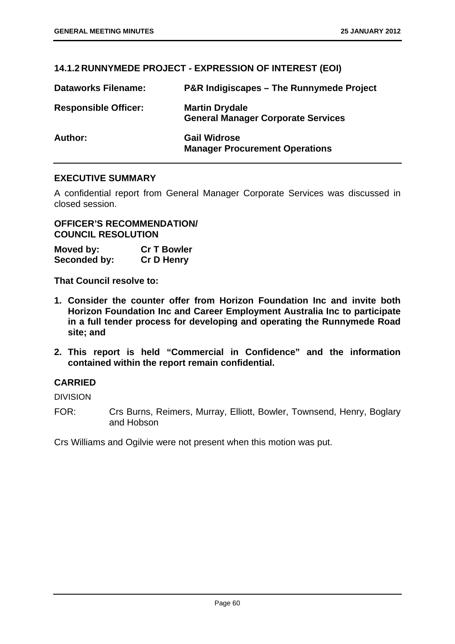# **14.1.2 RUNNYMEDE PROJECT - EXPRESSION OF INTEREST (EOI)**

| <b>Dataworks Filename:</b>  | <b>P&amp;R Indigiscapes - The Runnymede Project</b>                |
|-----------------------------|--------------------------------------------------------------------|
| <b>Responsible Officer:</b> | <b>Martin Drydale</b><br><b>General Manager Corporate Services</b> |
| Author:                     | <b>Gail Widrose</b><br><b>Manager Procurement Operations</b>       |

## **EXECUTIVE SUMMARY**

A confidential report from General Manager Corporate Services was discussed in closed session.

**OFFICER'S RECOMMENDATION/ COUNCIL RESOLUTION** 

**Moved by: Cr T Bowler Seconded by: Cr D Henry** 

**That Council resolve to:** 

- **1. Consider the counter offer from Horizon Foundation Inc and invite both Horizon Foundation Inc and Career Employment Australia Inc to participate in a full tender process for developing and operating the Runnymede Road site; and**
- **2. This report is held "Commercial in Confidence" and the information contained within the report remain confidential.**

# **CARRIED**

DIVISION

FOR: Crs Burns, Reimers, Murray, Elliott, Bowler, Townsend, Henry, Boglary and Hobson

Crs Williams and Ogilvie were not present when this motion was put.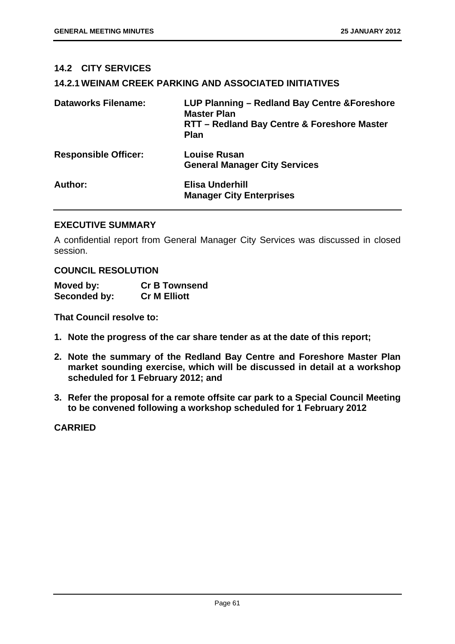# **14.2 CITY SERVICES**

# **14.2.1 WEINAM CREEK PARKING AND ASSOCIATED INITIATIVES**

| <b>Dataworks Filename:</b>  | LUP Planning - Redland Bay Centre & Foreshore<br><b>Master Plan</b><br>RTT - Redland Bay Centre & Foreshore Master<br><b>Plan</b> |
|-----------------------------|-----------------------------------------------------------------------------------------------------------------------------------|
| <b>Responsible Officer:</b> | <b>Louise Rusan</b><br><b>General Manager City Services</b>                                                                       |
| Author:                     | Elisa Underhill<br><b>Manager City Enterprises</b>                                                                                |

# **EXECUTIVE SUMMARY**

A confidential report from General Manager City Services was discussed in closed session.

## **COUNCIL RESOLUTION**

| Moved by:    | <b>Cr B Townsend</b> |
|--------------|----------------------|
| Seconded by: | <b>Cr M Elliott</b>  |

**That Council resolve to:** 

- **1. Note the progress of the car share tender as at the date of this report;**
- **2. Note the summary of the Redland Bay Centre and Foreshore Master Plan market sounding exercise, which will be discussed in detail at a workshop scheduled for 1 February 2012; and**
- **3. Refer the proposal for a remote offsite car park to a Special Council Meeting to be convened following a workshop scheduled for 1 February 2012**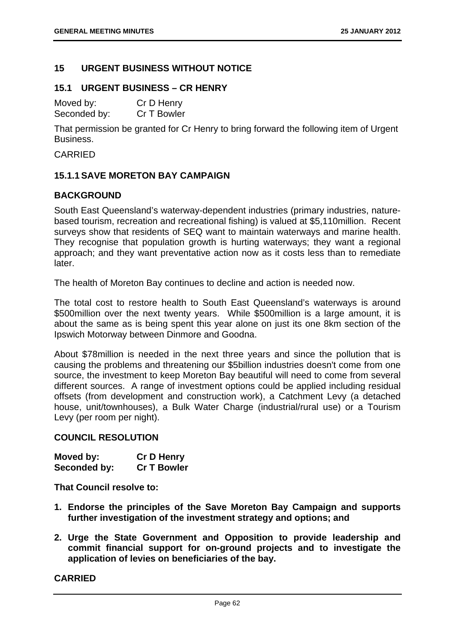# **15 URGENT BUSINESS WITHOUT NOTICE**

# **15.1 URGENT BUSINESS – CR HENRY**

| Moved by:    | Cr D Henry  |
|--------------|-------------|
| Seconded by: | Cr T Bowler |

That permission be granted for Cr Henry to bring forward the following item of Urgent Business.

CARRIED

# **15.1.1 SAVE MORETON BAY CAMPAIGN**

# **BACKGROUND**

South East Queensland's waterway-dependent industries (primary industries, naturebased tourism, recreation and recreational fishing) is valued at \$5,110million. Recent surveys show that residents of SEQ want to maintain waterways and marine health. They recognise that population growth is hurting waterways; they want a regional approach; and they want preventative action now as it costs less than to remediate later.

The health of Moreton Bay continues to decline and action is needed now.

The total cost to restore health to South East Queensland's waterways is around \$500million over the next twenty years. While \$500million is a large amount, it is about the same as is being spent this year alone on just its one 8km section of the Ipswich Motorway between Dinmore and Goodna.

About \$78million is needed in the next three years and since the pollution that is causing the problems and threatening our \$5billion industries doesn't come from one source, the investment to keep Moreton Bay beautiful will need to come from several different sources. A range of investment options could be applied including residual offsets (from development and construction work), a Catchment Levy (a detached house, unit/townhouses), a Bulk Water Charge (industrial/rural use) or a Tourism Levy (per room per night).

## **COUNCIL RESOLUTION**

| Moved by:    | <b>Cr D Henry</b>  |
|--------------|--------------------|
| Seconded by: | <b>Cr T Bowler</b> |

**That Council resolve to:** 

- **1. Endorse the principles of the Save Moreton Bay Campaign and supports further investigation of the investment strategy and options; and**
- **2. Urge the State Government and Opposition to provide leadership and commit financial support for on-ground projects and to investigate the application of levies on beneficiaries of the bay.**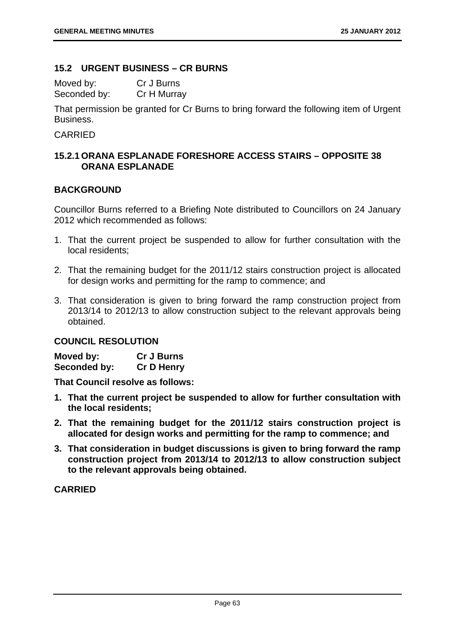# **15.2 URGENT BUSINESS – CR BURNS**

Moved by: Cr J Burns Seconded by: Cr H Murray

That permission be granted for Cr Burns to bring forward the following item of Urgent Business.

# CARRIED

# **15.2.1 ORANA ESPLANADE FORESHORE ACCESS STAIRS – OPPOSITE 38 ORANA ESPLANADE**

# **BACKGROUND**

Councillor Burns referred to a Briefing Note distributed to Councillors on 24 January 2012 which recommended as follows:

- 1. That the current project be suspended to allow for further consultation with the local residents;
- 2. That the remaining budget for the 2011/12 stairs construction project is allocated for design works and permitting for the ramp to commence; and
- 3. That consideration is given to bring forward the ramp construction project from 2013/14 to 2012/13 to allow construction subject to the relevant approvals being obtained.

# **COUNCIL RESOLUTION**

| Moved by:    | <b>Cr J Burns</b> |
|--------------|-------------------|
| Seconded by: | <b>Cr D Henry</b> |

**That Council resolve as follows:** 

- **1. That the current project be suspended to allow for further consultation with the local residents;**
- **2. That the remaining budget for the 2011/12 stairs construction project is allocated for design works and permitting for the ramp to commence; and**
- **3. That consideration in budget discussions is given to bring forward the ramp construction project from 2013/14 to 2012/13 to allow construction subject to the relevant approvals being obtained.**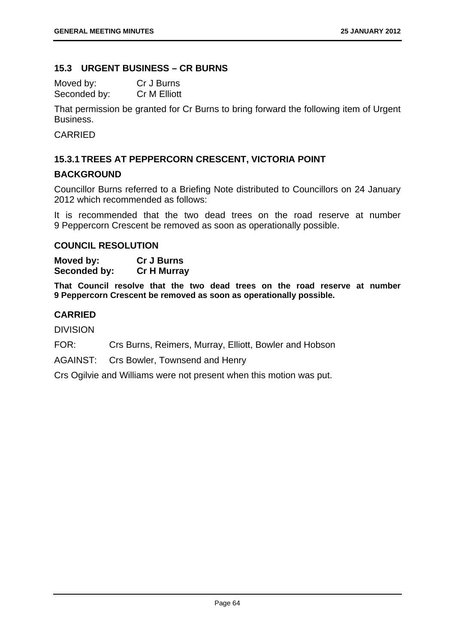# **15.3 URGENT BUSINESS – CR BURNS**

| Moved by:    | Cr J Burns   |
|--------------|--------------|
| Seconded by: | Cr M Elliott |

That permission be granted for Cr Burns to bring forward the following item of Urgent Business.

CARRIED

# **15.3.1 TREES AT PEPPERCORN CRESCENT, VICTORIA POINT**

# **BACKGROUND**

Councillor Burns referred to a Briefing Note distributed to Councillors on 24 January 2012 which recommended as follows:

It is recommended that the two dead trees on the road reserve at number 9 Peppercorn Crescent be removed as soon as operationally possible.

# **COUNCIL RESOLUTION**

**Moved by: Cr J Burns Seconded by: Cr H Murray** 

**That Council resolve that the two dead trees on the road reserve at number 9 Peppercorn Crescent be removed as soon as operationally possible.** 

# **CARRIED**

DIVISION

FOR: Crs Burns, Reimers, Murray, Elliott, Bowler and Hobson

AGAINST: Crs Bowler, Townsend and Henry

Crs Ogilvie and Williams were not present when this motion was put.